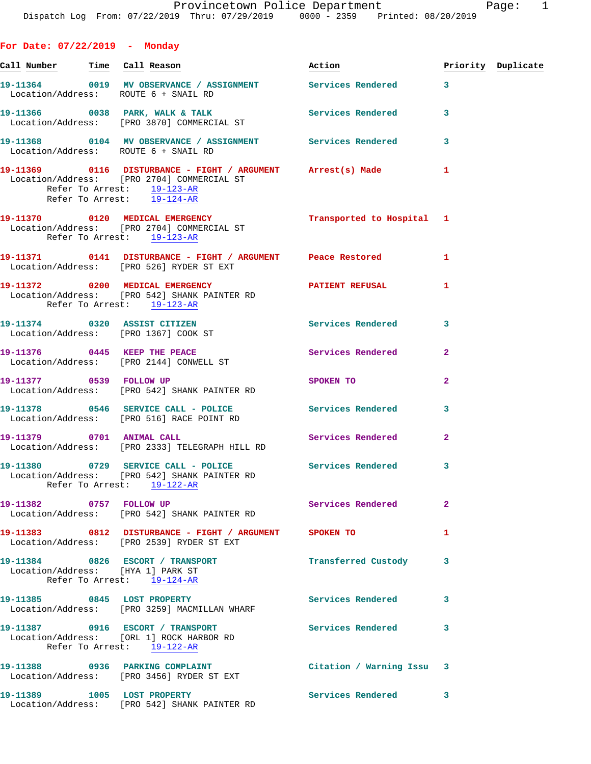**For Date: 07/22/2019 - Monday**

|  | Call Number Time Call Reason                                                                                                                                            | <u>Action</u>             |              | Priority Duplicate |
|--|-------------------------------------------------------------------------------------------------------------------------------------------------------------------------|---------------------------|--------------|--------------------|
|  | 19-11364 0019 MV OBSERVANCE / ASSIGNMENT Services Rendered 3<br>Location/Address: ROUTE 6 + SNAIL RD                                                                    |                           |              |                    |
|  | 19-11366 0038 PARK, WALK & TALK 6 Services Rendered 3<br>Location/Address: [PRO 3870] COMMERCIAL ST                                                                     |                           |              |                    |
|  | 19-11368 0104 MV OBSERVANCE / ASSIGNMENT Services Rendered 3<br>Location/Address: ROUTE 6 + SNAIL RD                                                                    |                           |              |                    |
|  | 19-11369 0116 DISTURBANCE - FIGHT / ARGUMENT Arrest(s) Made 1<br>Location/Address: [PRO 2704] COMMERCIAL ST<br>Refer To Arrest: 19-123-AR<br>Refer To Arrest: 19-124-AR |                           |              |                    |
|  | 19-11370 0120 MEDICAL EMERGENCY<br>Location/Address: [PRO 2704] COMMERCIAL ST<br>Refer To Arrest: 19-123-AR                                                             | Transported to Hospital 1 |              |                    |
|  | 19-11371 0141 DISTURBANCE - FIGHT / ARGUMENT Peace Restored<br>Location/Address: [PRO 526] RYDER ST EXT                                                                 |                           | 1            |                    |
|  | 19-11372 0200 MEDICAL EMERGENCY<br>Location/Address: [PRO 542] SHANK PAINTER RD<br>Refer To Arrest: 19-123-AR                                                           | PATIENT REFUSAL 1         |              |                    |
|  | 19-11374 0320 ASSIST CITIZEN<br>Location/Address: [PRO 1367] COOK ST                                                                                                    | Services Rendered         | 3            |                    |
|  | 19-11376 0445 KEEP THE PEACE<br>Location/Address: [PRO 2144] CONWELL ST                                                                                                 | Services Rendered         | $\mathbf{2}$ |                    |
|  | 19-11377 0539 FOLLOW UP<br>Location/Address: [PRO 542] SHANK PAINTER RD                                                                                                 | SPOKEN TO                 | $\mathbf{2}$ |                    |
|  | 19-11378 0546 SERVICE CALL - POLICE Services Rendered 3<br>Location/Address: [PRO 516] RACE POINT RD                                                                    |                           |              |                    |
|  | 19-11379 0701 ANIMAL CALL<br>Location/Address: [PRO 2333] TELEGRAPH HILL RD                                                                                             | Services Rendered         | $\mathbf{2}$ |                    |
|  | 19-11380 0729 SERVICE CALL - POLICE Services Rendered 3<br>Location/Address: [PRO 542] SHANK PAINTER RD<br>Refer To Arrest: 19-122-AR                                   |                           |              |                    |
|  | 19-11382 0757 FOLLOW UP<br>Location/Address: [PRO 542] SHANK PAINTER RD                                                                                                 | Services Rendered         | $\mathbf{2}$ |                    |
|  | 19-11383 0812 DISTURBANCE - FIGHT / ARGUMENT SPOKEN TO<br>Location/Address: [PRO 2539] RYDER ST EXT                                                                     |                           | 1            |                    |
|  | 19-11384 0826 ESCORT / TRANSPORT<br>Location/Address: [HYA 1] PARK ST<br>Refer To Arrest: 19-124-AR                                                                     | Transferred Custody 3     |              |                    |
|  | 19-11385 0845 LOST PROPERTY<br>Location/Address: [PRO 3259] MACMILLAN WHARF                                                                                             | Services Rendered 3       |              |                    |
|  | 19-11387 0916 ESCORT / TRANSPORT<br>Location/Address: [ORL 1] ROCK HARBOR RD<br>Refer To Arrest: 19-122-AR                                                              | <b>Services Rendered</b>  | 3            |                    |
|  | 19-11388 0936 PARKING COMPLAINT<br>Location/Address: [PRO 3456] RYDER ST EXT                                                                                            | Citation / Warning Issu 3 |              |                    |
|  | 19-11389 1005 LOST PROPERTY<br>Location/Address: [PRO 542] SHANK PAINTER RD                                                                                             | Services Rendered 3       |              |                    |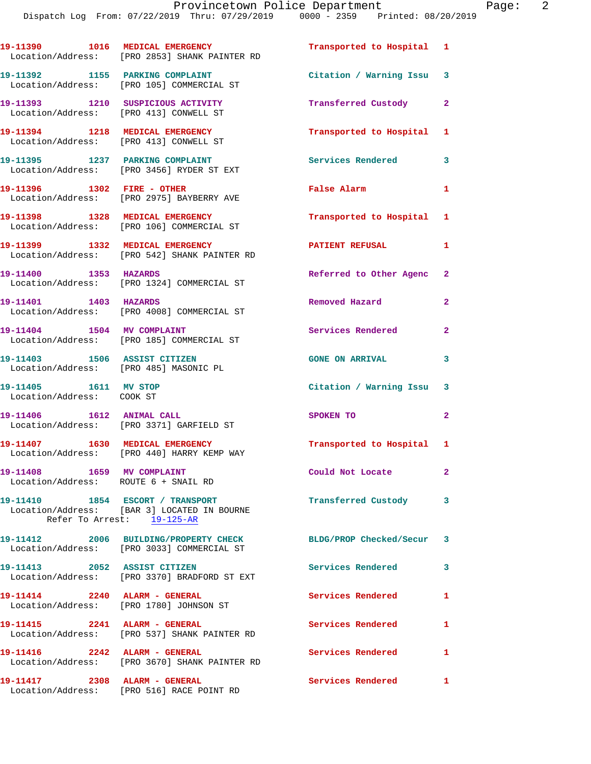|                                                                             | 19-11390 1016 MEDICAL EMERGENCY<br>Location/Address: [PRO 2853] SHANK PAINTER RD                              | Transported to Hospital 1 |                |
|-----------------------------------------------------------------------------|---------------------------------------------------------------------------------------------------------------|---------------------------|----------------|
|                                                                             | 19-11392 1155 PARKING COMPLAINT<br>Location/Address: [PRO 105] COMMERCIAL ST                                  | Citation / Warning Issu 3 |                |
| 19-11393 1210 SUSPICIOUS ACTIVITY<br>Location/Address: [PRO 413] CONWELL ST |                                                                                                               | Transferred Custody 2     |                |
| 19-11394 1218 MEDICAL EMERGENCY                                             | Location/Address: [PRO 413] CONWELL ST                                                                        | Transported to Hospital 1 |                |
|                                                                             | 19-11395 1237 PARKING COMPLAINT<br>Location/Address: [PRO 3456] RYDER ST EXT                                  | Services Rendered         | 3              |
| 19-11396 1302 FIRE - OTHER                                                  | Location/Address: [PRO 2975] BAYBERRY AVE                                                                     | <b>False Alarm</b>        | $\mathbf{1}$   |
|                                                                             | 19-11398 1328 MEDICAL EMERGENCY<br>Location/Address: [PRO 106] COMMERCIAL ST                                  | Transported to Hospital 1 |                |
|                                                                             | 19-11399 1332 MEDICAL EMERGENCY<br>Location/Address: [PRO 542] SHANK PAINTER RD                               | <b>PATIENT REFUSAL</b>    | $\mathbf{1}$   |
| 19-11400 1353 HAZARDS                                                       | Location/Address: [PRO 1324] COMMERCIAL ST                                                                    | Referred to Other Agenc 2 |                |
| 19-11401 1403 HAZARDS                                                       | Location/Address: [PRO 4008] COMMERCIAL ST                                                                    | Removed Hazard            | $\mathbf{2}$   |
| 19-11404 1504 MV COMPLAINT                                                  | Location/Address: [PRO 185] COMMERCIAL ST                                                                     | Services Rendered         | $\overline{2}$ |
| 19-11403 1506 ASSIST CITIZEN<br>Location/Address: [PRO 485] MASONIC PL      |                                                                                                               | <b>GONE ON ARRIVAL</b>    | 3              |
| 19-11405   1611 MV STOP<br>Location/Address: COOK ST                        |                                                                                                               | Citation / Warning Issu 3 |                |
| 19-11406   1612   ANIMAL CALL                                               | Location/Address: [PRO 3371] GARFIELD ST                                                                      | SPOKEN TO                 | $\mathbf{2}$   |
|                                                                             | 19-11407 1630 MEDICAL EMERGENCY<br>Location/Address: [PRO 440] HARRY KEMP WAY                                 | Transported to Hospital 1 |                |
| 19-11408 1659 MV COMPLAINT<br>Location/Address: ROUTE 6 + SNAIL RD          |                                                                                                               | Could Not Locate          | $\mathbf{2}^-$ |
|                                                                             | 19-11410 1854 ESCORT / TRANSPORT<br>Location/Address: [BAR 3] LOCATED IN BOURNE<br>Refer To Arrest: 19-125-AR | Transferred Custody       | 3              |
|                                                                             | 19-11412 2006 BUILDING/PROPERTY CHECK<br>Location/Address: [PRO 3033] COMMERCIAL ST                           | BLDG/PROP Checked/Secur 3 |                |
| 19-11413 2052 ASSIST CITIZEN                                                | Location/Address: [PRO 3370] BRADFORD ST EXT                                                                  | <b>Services Rendered</b>  | 3              |
|                                                                             | 19-11414 2240 ALARM - GENERAL<br>Location/Address: [PRO 1780] JOHNSON ST                                      | <b>Services Rendered</b>  | 1              |
| 19-11415 2241 ALARM - GENERAL                                               | Location/Address: [PRO 537] SHANK PAINTER RD                                                                  | Services Rendered         | $\mathbf{1}$   |
| 19-11416 2242 ALARM - GENERAL                                               | Location/Address: [PRO 3670] SHANK PAINTER RD                                                                 | <b>Services Rendered</b>  | 1              |
| 19-11417 2308 ALARM - GENERAL                                               | Location/Address: [PRO 516] RACE POINT RD                                                                     | Services Rendered         | $\mathbf{1}$   |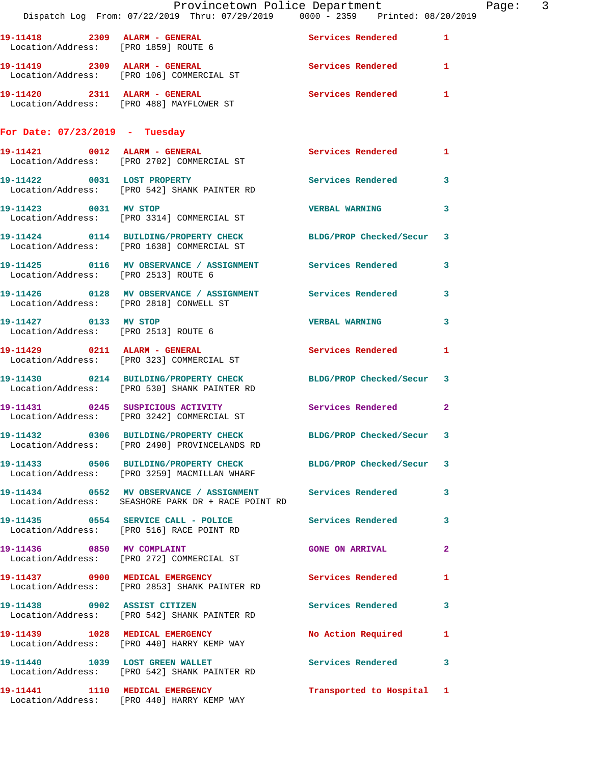|                                         | Provincetown Police Department<br>Dispatch Log From: 07/22/2019 Thru: 07/29/2019 0000 - 2359 Printed: 08/20/2019   |                           |              | Page: 3 |  |
|-----------------------------------------|--------------------------------------------------------------------------------------------------------------------|---------------------------|--------------|---------|--|
|                                         | 19-11418  2309  ALARM - GENERAL  Services Rendered  1<br>Location/Address: [PRO 1859] ROUTE 6                      |                           |              |         |  |
|                                         | 19-11419 2309 ALARM - GENERAL Services Rendered 1<br>Location/Address: [PRO 106] COMMERCIAL ST                     |                           |              |         |  |
|                                         |                                                                                                                    | Services Rendered 1       |              |         |  |
| For Date: $07/23/2019$ - Tuesday        |                                                                                                                    |                           |              |         |  |
|                                         | 19-11421 0012 ALARM - GENERAL<br>Location/Address: [PRO 2702] COMMERCIAL ST                                        | Services Rendered 1       |              |         |  |
|                                         | 19-11422 0031 LOST PROPERTY Services Rendered 3<br>Location/Address: [PRO 542] SHANK PAINTER RD                    |                           |              |         |  |
|                                         | 19-11423 0031 MV STOP<br>Location/Address: [PRO 3314] COMMERCIAL ST                                                | <b>VERBAL WARNING</b>     | $\mathbf{3}$ |         |  |
|                                         | 19-11424 0114 BUILDING/PROPERTY CHECK BLDG/PROP Checked/Secur 3<br>Location/Address: [PRO 1638] COMMERCIAL ST      |                           |              |         |  |
| Location/Address: [PRO 2513] ROUTE 6    | 19-11425 0116 MV OBSERVANCE / ASSIGNMENT Services Rendered 3                                                       |                           |              |         |  |
| Location/Address: [PRO 2818] CONWELL ST | 19-11426  0128 MV OBSERVANCE / ASSIGNMENT Services Rendered 3                                                      |                           |              |         |  |
| 19-11427 0133 MV STOP                   | Location/Address: [PRO 2513] ROUTE 6                                                                               | <b>VERBAL WARNING 3</b>   |              |         |  |
|                                         | 19-11429 0211 ALARM - GENERAL<br>Location/Address: [PRO 323] COMMERCIAL ST                                         | Services Rendered         | $\mathbf{1}$ |         |  |
|                                         | 19-11430 0214 BUILDING/PROPERTY CHECK BLDG/PROP Checked/Secur 3<br>Location/Address: [PRO 530] SHANK PAINTER RD    |                           |              |         |  |
|                                         | 19-11431 0245 SUSPICIOUS ACTIVITY Services Rendered 2<br>Location/Address: [PRO 3242] COMMERCIAL ST                |                           |              |         |  |
|                                         | 19-11432 0306 BUILDING/PROPERTY CHECK BLDG/PROP Checked/Secur 3<br>Location/Address: [PRO 2490] PROVINCELANDS RD   |                           |              |         |  |
|                                         | 19-11433 0506 BUILDING/PROPERTY CHECK BLDG/PROP Checked/Secur 3<br>Location/Address: [PRO 3259] MACMILLAN WHARF    |                           |              |         |  |
|                                         | 19-11434 0552 MV OBSERVANCE / ASSIGNMENT Services Rendered 3<br>Location/Address: SEASHORE PARK DR + RACE POINT RD |                           |              |         |  |
|                                         | 19-11435 0554 SERVICE CALL - POLICE 3 Services Rendered 3<br>Location/Address: [PRO 516] RACE POINT RD             |                           |              |         |  |
|                                         | 19-11436 0850 MV COMPLAINT<br>Location/Address: [PRO 272] COMMERCIAL ST                                            | GONE ON ARRIVAL 2         |              |         |  |
|                                         | 19-11437 0900 MEDICAL EMERGENCY<br>Location/Address: [PRO 2853] SHANK PAINTER RD                                   | Services Rendered 1       |              |         |  |
|                                         | 19-11438 0902 ASSIST CITIZEN<br>Location/Address: [PRO 542] SHANK PAINTER RD                                       | Services Rendered 3       |              |         |  |
|                                         | 19-11439 1028 MEDICAL EMERGENCY<br>Location/Address: [PRO 440] HARRY KEMP WAY                                      | No Action Required 1      |              |         |  |
|                                         | 19-11440 1039 LOST GREEN WALLET<br>Location/Address: [PRO 542] SHANK PAINTER RD                                    | Services Rendered 3       |              |         |  |
|                                         | 19-11441 1110 MEDICAL EMERGENCY<br>Location/Address: [PRO 440] HARRY KEMP WAY                                      | Transported to Hospital 1 |              |         |  |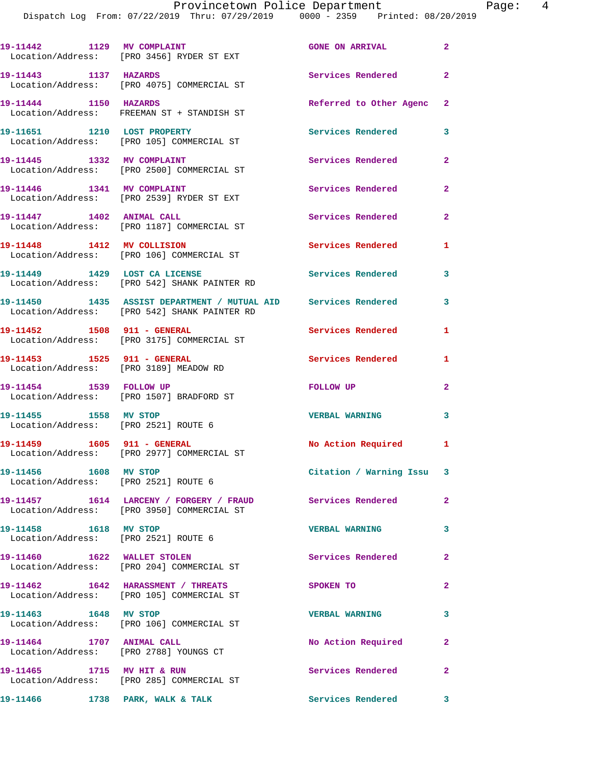| 19-11442 1129 MV COMPLAINT                                    | Location/Address: [PRO 3456] RYDER ST EXT                                                                      | <b>GONE ON ARRIVAL</b>   | $\mathbf{2}$ |
|---------------------------------------------------------------|----------------------------------------------------------------------------------------------------------------|--------------------------|--------------|
| 19-11443 1137 HAZARDS                                         | Location/Address: [PRO 4075] COMMERCIAL ST                                                                     | Services Rendered        | $\mathbf{2}$ |
| 19-11444 1150 HAZARDS                                         | Location/Address: FREEMAN ST + STANDISH ST                                                                     | Referred to Other Agenc  | $\mathbf{2}$ |
| 19-11651 1210 LOST PROPERTY                                   | Location/Address: [PRO 105] COMMERCIAL ST                                                                      | <b>Services Rendered</b> | 3            |
| 19-11445 1332 MV COMPLAINT                                    | Location/Address: [PRO 2500] COMMERCIAL ST                                                                     | Services Rendered        | 2            |
| 19-11446 1341 MV COMPLAINT                                    | Location/Address: [PRO 2539] RYDER ST EXT                                                                      | <b>Services Rendered</b> | $\mathbf{2}$ |
|                                                               | 19-11447   1402   ANIMAL CALL<br>Location/Address: [PRO 1187] COMMERCIAL ST                                    | Services Rendered        | $\mathbf{2}$ |
| 19-11448 1412 MV COLLISION                                    | Location/Address: [PRO 106] COMMERCIAL ST                                                                      | Services Rendered        | 1            |
|                                                               | 19-11449    1429    LOST CA LICENSE<br>Location/Address: [PRO 542] SHANK PAINTER RD                            | <b>Services Rendered</b> | 3            |
|                                                               | 19-11450 1435 ASSIST DEPARTMENT / MUTUAL AID Services Rendered<br>Location/Address: [PRO 542] SHANK PAINTER RD |                          | 3            |
|                                                               | 19-11452    1508    911 - GENERAL<br>Location/Address: [PRO 3175] COMMERCIAL ST                                | <b>Services Rendered</b> | 1            |
| 19-11453    1525    911 - GENERAL                             | Location/Address: [PRO 3189] MEADOW RD                                                                         | <b>Services Rendered</b> | 1            |
|                                                               | 19-11454 1539 FOLLOW UP<br>Location/Address: [PRO 1507] BRADFORD ST                                            | FOLLOW UP                | 2            |
| 19-11455 1558 MV STOP<br>Location/Address: [PRO 2521] ROUTE 6 |                                                                                                                | <b>VERBAL WARNING</b>    | 3            |
|                                                               | 19-11459    1605    911 - GENERAL<br>Location/Address: [PRO 2977] COMMERCIAL ST                                | No Action Required       | 1            |
| 19-11456 1608 MV STOP                                         | Location/Address: [PRO 2521] ROUTE 6                                                                           | Citation / Warning Issu  | 3            |
|                                                               | 19-11457 1614 LARCENY / FORGERY / FRAUD Services Rendered<br>Location/Address: [PRO 3950] COMMERCIAL ST        |                          | 2            |
| 19-11458 1618 MV STOP                                         | Location/Address: [PRO 2521] ROUTE 6                                                                           | <b>VERBAL WARNING</b>    | 3            |
|                                                               | 19-11460 1622 WALLET STOLEN<br>Location/Address: [PRO 204] COMMERCIAL ST                                       | <b>Services Rendered</b> | $\mathbf{2}$ |
|                                                               | 19-11462 1642 HARASSMENT / THREATS<br>Location/Address: [PRO 105] COMMERCIAL ST                                | SPOKEN TO                | 2            |
| 19-11463 1648 MV STOP                                         | Location/Address: [PRO 106] COMMERCIAL ST                                                                      | <b>VERBAL WARNING</b>    | 3            |
| 19-11464 1707 ANIMAL CALL                                     | Location/Address: [PRO 2788] YOUNGS CT                                                                         | No Action Required       | 2            |
|                                                               | 19-11465 1715 MV HIT & RUN<br>Location/Address: [PRO 285] COMMERCIAL ST                                        | Services Rendered        | 2            |
| 19-11466 1738 PARK, WALK & TALK                               |                                                                                                                | Services Rendered        | 3            |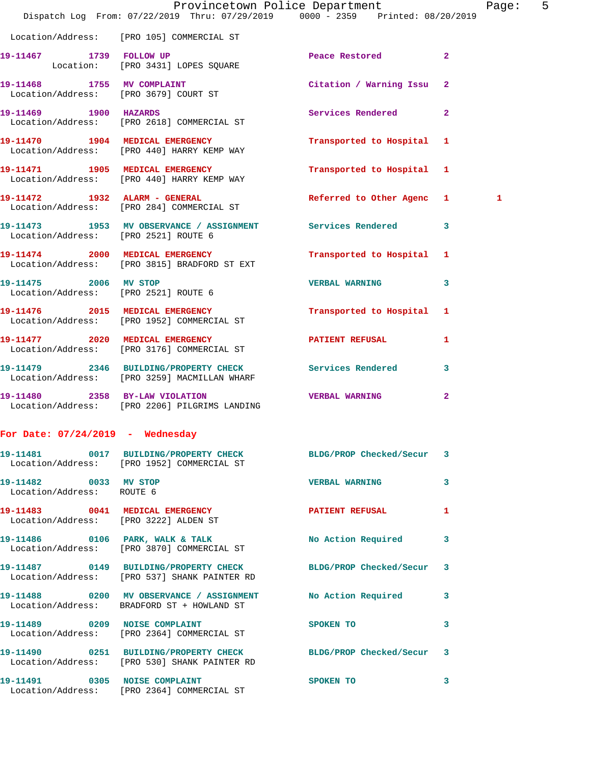|                                                    | Dispatch Log From: 07/22/2019 Thru: 07/29/2019 0000 - 2359 Printed: 08/20/2019                                  | Provincetown Police Department   |              | Page: | 5 |
|----------------------------------------------------|-----------------------------------------------------------------------------------------------------------------|----------------------------------|--------------|-------|---|
|                                                    | Location/Address: [PRO 105] COMMERCIAL ST                                                                       |                                  |              |       |   |
| 19-11467 1739 FOLLOW UP                            | Location: [PRO 3431] LOPES SQUARE                                                                               | <b>Peace Restored 22 Peace 2</b> |              |       |   |
|                                                    | 19-11468 1755 MV COMPLAINT<br>Location/Address: [PRO 3679] COURT ST                                             | Citation / Warning Issu 2        |              |       |   |
| 19-11469 1900 HAZARDS                              | Location/Address: [PRO 2618] COMMERCIAL ST                                                                      | Services Rendered 2              |              |       |   |
|                                                    | 19-11470 1904 MEDICAL EMERGENCY<br>Location/Address: [PRO 440] HARRY KEMP WAY                                   | Transported to Hospital 1        |              |       |   |
|                                                    | 19-11471 1905 MEDICAL EMERGENCY<br>Location/Address: [PRO 440] HARRY KEMP WAY                                   | Transported to Hospital 1        |              |       |   |
|                                                    | 19-11472 1932 ALARM - GENERAL<br>Location/Address: [PRO 284] COMMERCIAL ST                                      | Referred to Other Agenc 1        |              | 1     |   |
| Location/Address: [PRO 2521] ROUTE 6               | 19-11473 1953 MV OBSERVANCE / ASSIGNMENT Services Rendered 3                                                    |                                  |              |       |   |
|                                                    | 19-11474 2000 MEDICAL EMERGENCY<br>Location/Address: [PRO 3815] BRADFORD ST EXT                                 | Transported to Hospital 1        |              |       |   |
| Location/Address: [PRO 2521] ROUTE 6               | 19-11475 2006 MV STOP                                                                                           | <b>VERBAL WARNING</b>            | 3            |       |   |
|                                                    | 19-11476 2015 MEDICAL EMERGENCY<br>Location/Address: [PRO 1952] COMMERCIAL ST                                   | Transported to Hospital 1        |              |       |   |
|                                                    | 19-11477 2020 MEDICAL EMERGENCY<br>Location/Address: [PRO 3176] COMMERCIAL ST                                   | <b>PATIENT REFUSAL</b>           | 1            |       |   |
|                                                    | 19-11479 2346 BUILDING/PROPERTY CHECK Services Rendered 3<br>Location/Address: [PRO 3259] MACMILLAN WHARF       |                                  |              |       |   |
|                                                    | 19-11480 2358 BY-LAW VIOLATION<br>Location/Address: [PRO 2206] PILGRIMS LANDING                                 | <b>VERBAL WARNING</b>            | $\mathbf{2}$ |       |   |
| For Date: $07/24/2019$ - Wednesday                 |                                                                                                                 |                                  |              |       |   |
|                                                    | 19-11481  0017 BUILDING/PROPERTY CHECK BLDG/PROP Checked/Secur 3<br>Location/Address: [PRO 1952] COMMERCIAL ST  |                                  |              |       |   |
| 19-11482 0033 MV STOP<br>Location/Address: ROUTE 6 |                                                                                                                 | VERBAL WARNING 3                 |              |       |   |
|                                                    |                                                                                                                 |                                  | $\mathbf{1}$ |       |   |
|                                                    | 19-11486 0106 PARK, WALK & TALK<br>Location/Address: [PRO 3870] COMMERCIAL ST                                   | No Action Required 3             |              |       |   |
|                                                    | 19-11487 0149 BUILDING/PROPERTY CHECK BLDG/PROP Checked/Secur 3<br>Location/Address: [PRO 537] SHANK PAINTER RD |                                  |              |       |   |
|                                                    | 19-11488 0200 MV OBSERVANCE / ASSIGNMENT No Action Required 3<br>Location/Address: BRADFORD ST + HOWLAND ST     |                                  |              |       |   |
|                                                    | 19-11489  0209  NOISE COMPLAINT<br>Location/Address: [PRO 2364] COMMERCIAL ST                                   | SPOKEN TO 3                      |              |       |   |
|                                                    | 19-11490 0251 BUILDING/PROPERTY CHECK BLDG/PROP Checked/Secur 3<br>Location/Address: [PRO 530] SHANK PAINTER RD |                                  |              |       |   |
|                                                    | 19-11491 0305 NOISE COMPLAINT<br>Location/Address: [PRO 2364] COMMERCIAL ST                                     | SPOKEN TO                        | 3            |       |   |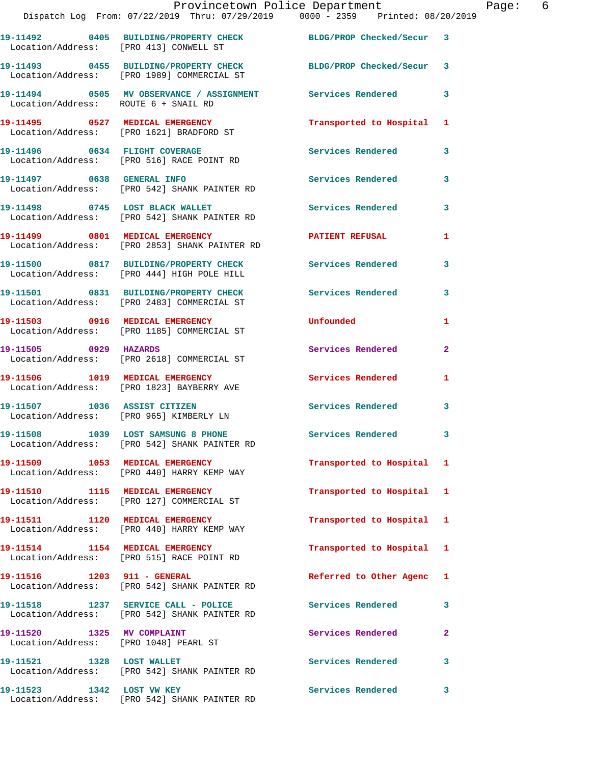|                                                                     | Provincetown Police Department<br>Dispatch Log From: 07/22/2019 Thru: 07/29/2019 0000 - 2359 Printed: 08/20/2019 |                          |              |
|---------------------------------------------------------------------|------------------------------------------------------------------------------------------------------------------|--------------------------|--------------|
|                                                                     | 19-11492 0405 BUILDING/PROPERTY CHECK BLDG/PROP Checked/Secur 3<br>Location/Address: [PRO 413] CONWELL ST        |                          |              |
|                                                                     | 19-11493 0455 BUILDING/PROPERTY CHECK<br>Location/Address: [PRO 1989] COMMERCIAL ST                              | BLDG/PROP Checked/Secur  | 3            |
| Location/Address: ROUTE 6 + SNAIL RD                                | 19-11494 0505 MV OBSERVANCE / ASSIGNMENT Services Rendered                                                       |                          | 3            |
|                                                                     | 19-11495 0527 MEDICAL EMERGENCY<br>Location/Address: [PRO 1621] BRADFORD ST                                      | Transported to Hospital  | 1            |
|                                                                     | 19-11496 0634 FLIGHT COVERAGE<br>Location/Address: [PRO 516] RACE POINT RD                                       | <b>Services Rendered</b> | 3            |
|                                                                     | 19-11497 0638 GENERAL INFO<br>Location/Address: [PRO 542] SHANK PAINTER RD                                       | Services Rendered        | 3            |
|                                                                     | 19-11498 0745 LOST BLACK WALLET<br>Location/Address: [PRO 542] SHANK PAINTER RD                                  | <b>Services Rendered</b> | 3            |
|                                                                     | 19-11499 0801 MEDICAL EMERGENCY<br>Location/Address: [PRO 2853] SHANK PAINTER RD                                 | PATIENT REFUSAL          | 1            |
|                                                                     | 19-11500 0817 BUILDING/PROPERTY CHECK Services Rendered<br>Location/Address: [PRO 444] HIGH POLE HILL            |                          | 3            |
|                                                                     | 19-11501 0831 BUILDING/PROPERTY CHECK Services Rendered<br>Location/Address: [PRO 2483] COMMERCIAL ST            |                          | 3            |
|                                                                     | 19-11503 0916 MEDICAL EMERGENCY<br>Location/Address: [PRO 1185] COMMERCIAL ST                                    | Unfounded                | 1            |
| 19-11505 0929 HAZARDS                                               | Location/Address: [PRO 2618] COMMERCIAL ST                                                                       | Services Rendered        | $\mathbf{2}$ |
|                                                                     | 19-11506 1019 MEDICAL EMERGENCY<br>Location/Address: [PRO 1823] BAYBERRY AVE                                     | <b>Services Rendered</b> | 1            |
|                                                                     | 19-11507 1036 ASSIST CITIZEN<br>Location/Address: [PRO 965] KIMBERLY LN                                          | <b>Services Rendered</b> | 3            |
|                                                                     | 19-11508 1039 LOST SAMSUNG 8 PHONE<br>Location/Address: [PRO 542] SHANK PAINTER RD                               | Services Rendered        | 3            |
| 19-11509 1053 MEDICAL EMERGENCY                                     | Location/Address: [PRO 440] HARRY KEMP WAY                                                                       | Transported to Hospital  | 1            |
|                                                                     | 19-11510 1115 MEDICAL EMERGENCY<br>Location/Address: [PRO 127] COMMERCIAL ST                                     | Transported to Hospital  | 1            |
|                                                                     | 19-11511 1120 MEDICAL EMERGENCY<br>Location/Address: [PRO 440] HARRY KEMP WAY                                    | Transported to Hospital  | 1            |
|                                                                     | 19-11514 1154 MEDICAL EMERGENCY<br>Location/Address: [PRO 515] RACE POINT RD                                     | Transported to Hospital  | 1            |
|                                                                     | Location/Address: [PRO 542] SHANK PAINTER RD                                                                     | Referred to Other Agenc  | 1            |
|                                                                     | 19-11518 1237 SERVICE CALL - POLICE<br>Location/Address: [PRO 542] SHANK PAINTER RD                              | Services Rendered        | 3            |
| 19-11520 1325 MV COMPLAINT<br>Location/Address: [PRO 1048] PEARL ST |                                                                                                                  | Services Rendered        | $\mathbf{2}$ |
| 19-11521 1328 LOST WALLET                                           | Location/Address: [PRO 542] SHANK PAINTER RD                                                                     | Services Rendered        | 3            |
| 19-11523 1342 LOST VW KEY                                           |                                                                                                                  | Services Rendered        | 3            |

Location/Address: [PRO 542] SHANK PAINTER RD

Page:  $6$ <br>19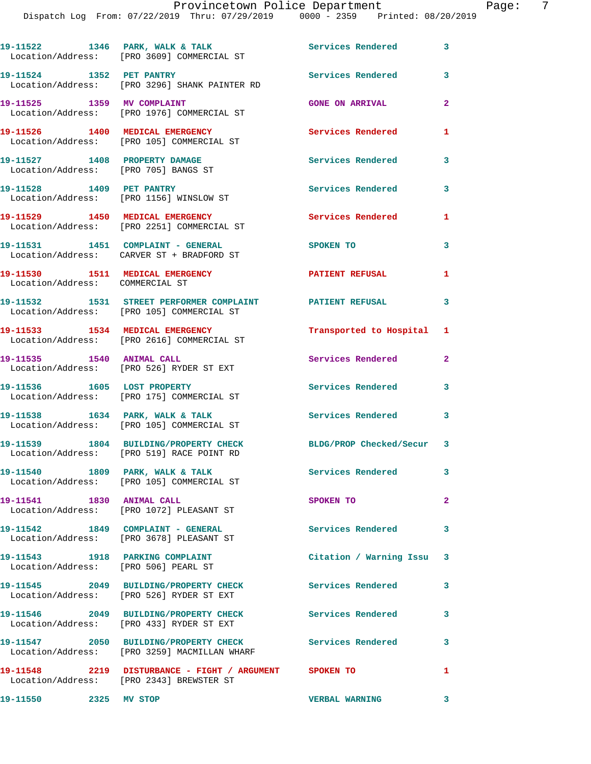|                                                                       | Provincetown Police Department                                                                        |                          |                |
|-----------------------------------------------------------------------|-------------------------------------------------------------------------------------------------------|--------------------------|----------------|
|                                                                       | Dispatch Log From: 07/22/2019 Thru: 07/29/2019 0000 - 2359 Printed: 08/20/2019                        |                          |                |
|                                                                       | 19-11522 1346 PARK, WALK & TALK 1998 Services Rendered<br>Location/Address: [PRO 3609] COMMERCIAL ST  |                          | 3              |
| 19-11524 1352 PET PANTRY                                              | Location/Address: [PRO 3296] SHANK PAINTER RD                                                         | Services Rendered        | 3              |
|                                                                       | 19-11525 1359 MV COMPLAINT<br>Location/Address: [PRO 1976] COMMERCIAL ST                              | <b>GONE ON ARRIVAL</b>   | $\mathbf{2}$   |
|                                                                       | 19-11526 1400 MEDICAL EMERGENCY<br>Location/Address: [PRO 105] COMMERCIAL ST                          | <b>Services Rendered</b> | 1              |
| 19-11527 1408 PROPERTY DAMAGE<br>Location/Address: [PRO 705] BANGS ST |                                                                                                       | <b>Services Rendered</b> | 3              |
| 19-11528 1409 PET PANTRY                                              | Location/Address: [PRO 1156] WINSLOW ST                                                               | Services Rendered        | 3              |
|                                                                       | 19-11529 1450 MEDICAL EMERGENCY<br>Location/Address: [PRO 2251] COMMERCIAL ST                         | <b>Services Rendered</b> | 1              |
|                                                                       | 19-11531 1451 COMPLAINT - GENERAL<br>Location/Address: CARVER ST + BRADFORD ST                        | <b>SPOKEN TO</b>         | 3              |
| 19-11530 1511 MEDICAL EMERGENCY<br>Location/Address: COMMERCIAL ST    |                                                                                                       | <b>PATIENT REFUSAL</b>   | 1              |
|                                                                       | 19-11532 1531 STREET PERFORMER COMPLAINT PATIENT REFUSAL<br>Location/Address: [PRO 105] COMMERCIAL ST |                          | 3              |
|                                                                       | 19-11533 1534 MEDICAL EMERGENCY<br>Location/Address: [PRO 2616] COMMERCIAL ST                         | Transported to Hospital  | 1              |
|                                                                       | 19-11535   1540   ANIMAL CALL<br>Location/Address: [PRO 526] RYDER ST EXT                             | Services Rendered        | $\mathbf{2}$   |
| 19-11536 1605 LOST PROPERTY                                           | Location/Address: [PRO 175] COMMERCIAL ST                                                             | <b>Services Rendered</b> | 3              |
|                                                                       | 19-11538 1634 PARK, WALK & TALK 1998 Services Rendered<br>Location/Address: [PRO 105] COMMERCIAL ST   |                          | 3              |
|                                                                       | 1804 BUILDING/PROPERTY CHECK<br>Location/Address: [PRO 519] RACE POINT RD                             | BLDG/PROP Checked/Secur  | 3              |
| 19-11540<br>Location/Address:                                         | 1809 PARK, WALK & TALK<br>[PRO 105] COMMERCIAL ST                                                     | Services Rendered        | 3              |
| 19-11541<br>Location/Address:                                         | 1830 ANIMAL CALL<br>[PRO 1072] PLEASANT ST                                                            | SPOKEN TO                | $\overline{2}$ |

**19-11542 1849 COMPLAINT - GENERAL Services Rendered 3**  Location/Address: [PRO 3678] PLEASANT ST

**19-11543 1918 PARKING COMPLAINT Citation / Warning Issu 3**  Location/Address: [PRO 506] PEARL ST

Location/Address: [PRO 526] RYDER ST EXT

Location/Address: [PRO 433] RYDER ST EXT

**19-11547 2050 BUILDING/PROPERTY CHECK Services Rendered 3** 

**19-11550 2325 MV STOP VERBAL WARNING 3** 

**19-11545 2049 BUILDING/PROPERTY CHECK Services Rendered 3** 

**19-11546 2049 BUILDING/PROPERTY CHECK Services Rendered 3** 

Location/Address: [PRO 3259] MACMILLAN WHARF

**19-11548 2219 DISTURBANCE - FIGHT / ARGUMENT SPOKEN TO 1** 

Location/Address: [PRO 2343] BREWSTER ST

Page: 7<br>2019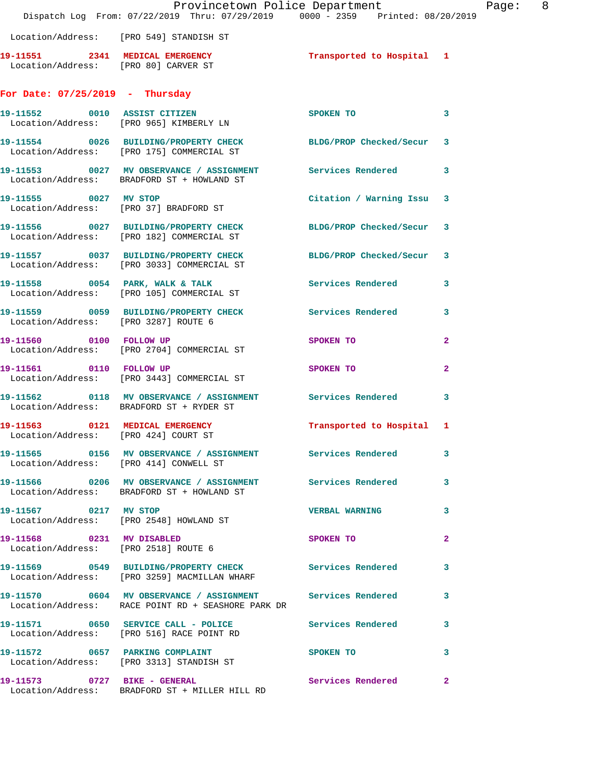|                                      | Dispatch Log From: 07/22/2019 Thru: 07/29/2019 0000 - 2359 Printed: 08/20/2019                                     | Provincetown Police Department | Page: 8                 |  |
|--------------------------------------|--------------------------------------------------------------------------------------------------------------------|--------------------------------|-------------------------|--|
|                                      | Location/Address: [PRO 549] STANDISH ST                                                                            |                                |                         |  |
| Location/Address: [PRO 80] CARVER ST | 19-11551 2341 MEDICAL EMERGENCY                                                                                    | Transported to Hospital 1      |                         |  |
| For Date: $07/25/2019$ - Thursday    |                                                                                                                    |                                |                         |  |
|                                      | 19-11552 0010 ASSIST CITIZEN<br>Location/Address: [PRO 965] KIMBERLY LN                                            | SPOKEN TO                      | $\mathbf{3}$            |  |
|                                      | 19-11554 0026 BUILDING/PROPERTY CHECK BLDG/PROP Checked/Secur 3<br>Location/Address: [PRO 175] COMMERCIAL ST       |                                |                         |  |
|                                      | 19-11553 0027 MV OBSERVANCE / ASSIGNMENT Services Rendered 3<br>Location/Address: BRADFORD ST + HOWLAND ST         |                                |                         |  |
|                                      | 19-11555 0027 MV STOP<br>Location/Address: [PRO 37] BRADFORD ST                                                    | Citation / Warning Issu 3      |                         |  |
|                                      | 19-11556 0027 BUILDING/PROPERTY CHECK BLDG/PROP Checked/Secur 3<br>Location/Address: [PRO 182] COMMERCIAL ST       |                                |                         |  |
|                                      | 19-11557 0037 BUILDING/PROPERTY CHECK BLDG/PROP Checked/Secur 3<br>Location/Address: [PRO 3033] COMMERCIAL ST      |                                |                         |  |
|                                      | 19-11558 0054 PARK, WALK & TALK 6 Services Rendered 3<br>Location/Address: [PRO 105] COMMERCIAL ST                 |                                |                         |  |
| Location/Address: [PRO 3287] ROUTE 6 | 19-11559 0059 BUILDING/PROPERTY CHECK Services Rendered 3                                                          |                                |                         |  |
| 19-11560 0100 FOLLOW UP              | Location/Address: [PRO 2704] COMMERCIAL ST                                                                         | SPOKEN TO                      | $\mathbf{2}$            |  |
|                                      | 19-11561 0110 FOLLOW UP<br>Location/Address: [PRO 3443] COMMERCIAL ST                                              | SPOKEN TO                      | $\mathbf{2}$            |  |
|                                      | 19-11562 0118 MV OBSERVANCE / ASSIGNMENT Services Rendered<br>Location/Address: BRADFORD ST + RYDER ST             |                                | $\overline{\mathbf{3}}$ |  |
| Location/Address: [PRO 424] COURT ST | 19-11563 0121 MEDICAL EMERGENCY                                                                                    | Transported to Hospital 1      |                         |  |
|                                      | 19-11565 0156 MV OBSERVANCE / ASSIGNMENT Services Rendered 3<br>Location/Address: [PRO 414] CONWELL ST             |                                |                         |  |
|                                      | 19-11566 0206 MV OBSERVANCE / ASSIGNMENT Services Rendered 3<br>Location/Address: BRADFORD ST + HOWLAND ST         |                                |                         |  |
| 19-11567 0217 MV STOP                | Location/Address: [PRO 2548] HOWLAND ST                                                                            | VERBAL WARNING 3               |                         |  |
|                                      | 19-11568 0231 MV DISABLED<br>Location/Address: [PRO 2518] ROUTE 6                                                  | SPOKEN TO                      | $\mathbf{2}$            |  |
|                                      | 19-11569 0549 BUILDING/PROPERTY CHECK Services Rendered 3<br>Location/Address: [PRO 3259] MACMILLAN WHARF          |                                |                         |  |
|                                      | 19-11570 0604 MV OBSERVANCE / ASSIGNMENT Services Rendered 3<br>Location/Address: RACE POINT RD + SEASHORE PARK DR |                                |                         |  |
|                                      | 19-11571 0650 SERVICE CALL - POLICE Services Rendered 3<br>Location/Address: [PRO 516] RACE POINT RD               |                                |                         |  |
|                                      | 19-11572 0657 PARKING COMPLAINT<br>Location/Address: [PRO 3313] STANDISH ST                                        | SPOKEN TO                      | 3                       |  |
| 19-11573 0727 BIKE - GENERAL         | Location/Address: BRADFORD ST + MILLER HILL RD                                                                     | Services Rendered 2            |                         |  |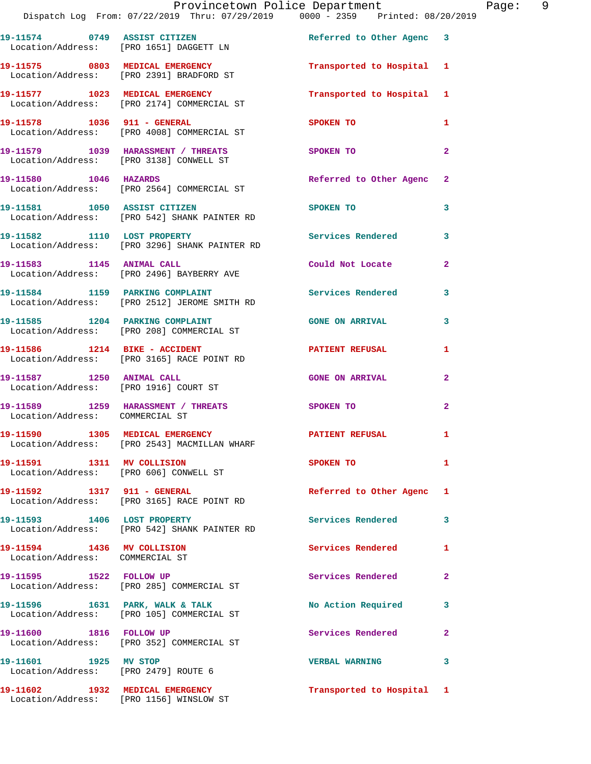|                                                                      | Provincetown Police Department                                                  |                           |                |
|----------------------------------------------------------------------|---------------------------------------------------------------------------------|---------------------------|----------------|
|                                                                      | Dispatch Log From: 07/22/2019 Thru: 07/29/2019 0000 - 2359 Printed: 08/20/2019  |                           |                |
|                                                                      | 19-11574 0749 ASSIST CITIZEN<br>Location/Address: [PRO 1651] DAGGETT LN         | Referred to Other Agenc 3 |                |
|                                                                      | 19-11575 0803 MEDICAL EMERGENCY<br>Location/Address: [PRO 2391] BRADFORD ST     | Transported to Hospital 1 |                |
|                                                                      | 19-11577 1023 MEDICAL EMERGENCY<br>Location/Address: [PRO 2174] COMMERCIAL ST   | Transported to Hospital   | 1              |
|                                                                      | 19-11578    1036    911 - GENERAL<br>Location/Address: [PRO 4008] COMMERCIAL ST | <b>SPOKEN TO</b>          | 1              |
|                                                                      | 19-11579 1039 HARASSMENT / THREATS<br>Location/Address: [PRO 3138] CONWELL ST   | SPOKEN TO                 | $\overline{a}$ |
|                                                                      | 19-11580    1046    HAZARDS<br>Location/Address: [PRO 2564] COMMERCIAL ST       | Referred to Other Agenc   | $\mathbf{2}$   |
|                                                                      | 19-11581 1050 ASSIST CITIZEN<br>Location/Address: [PRO 542] SHANK PAINTER RD    | <b>SPOKEN TO</b>          | 3              |
|                                                                      | 19-11582 1110 LOST PROPERTY<br>Location/Address: [PRO 3296] SHANK PAINTER RD    | <b>Services Rendered</b>  | 3              |
| 19-11583 1145 ANIMAL CALL                                            | Location/Address: [PRO 2496] BAYBERRY AVE                                       | Could Not Locate          | $\overline{a}$ |
|                                                                      | 19-11584 1159 PARKING COMPLAINT<br>Location/Address: [PRO 2512] JEROME SMITH RD | <b>Services Rendered</b>  | 3              |
| 19-11585 1204 PARKING COMPLAINT                                      | Location/Address: [PRO 208] COMMERCIAL ST                                       | <b>GONE ON ARRIVAL</b>    | 3              |
|                                                                      | Location/Address: [PRO 3165] RACE POINT RD                                      | <b>PATIENT REFUSAL</b>    | 1              |
| 19-11587 1250 ANIMAL CALL                                            | Location/Address: [PRO 1916] COURT ST                                           | <b>GONE ON ARRIVAL</b>    | $\mathbf{2}$   |
| Location/Address: COMMERCIAL ST                                      | 19-11589 1259 HARASSMENT / THREATS                                              | SPOKEN TO                 | $\overline{2}$ |
|                                                                      | 19-11590 1305 MEDICAL EMERGENCY<br>Location/Address: [PRO 2543] MACMILLAN WHARF | PATIENT REFUSAL           | $\mathbf{1}$   |
| 19-11591 1311 MV COLLISION<br>Location/Address: [PRO 606] CONWELL ST |                                                                                 | SPOKEN TO                 | 1              |
| 19-11592 1317 911 - GENERAL                                          | Location/Address: [PRO 3165] RACE POINT RD                                      | Referred to Other Agenc   | 1              |
|                                                                      | 19-11593 1406 LOST PROPERTY<br>Location/Address: [PRO 542] SHANK PAINTER RD     | Services Rendered         | 3              |
| 19-11594 1436 MV COLLISION<br>Location/Address: COMMERCIAL ST        |                                                                                 | <b>Services Rendered</b>  | 1              |
| 19-11595 1522 FOLLOW UP                                              | Location/Address: [PRO 285] COMMERCIAL ST                                       | Services Rendered         | $\mathbf{2}$   |
|                                                                      | 19-11596 1631 PARK, WALK & TALK<br>Location/Address: [PRO 105] COMMERCIAL ST    | No Action Required        | 3              |
| 19-11600 1816 FOLLOW UP                                              | Location/Address: [PRO 352] COMMERCIAL ST                                       | Services Rendered         | $\mathbf{2}$   |
| 19-11601 1925 MV STOP<br>Location/Address: [PRO 2479] ROUTE 6        |                                                                                 | <b>VERBAL WARNING</b>     | 3              |
| 19-11602 1932 MEDICAL EMERGENCY                                      | Location/Address: [PRO 1156] WINSLOW ST                                         | Transported to Hospital 1 |                |

Page: 9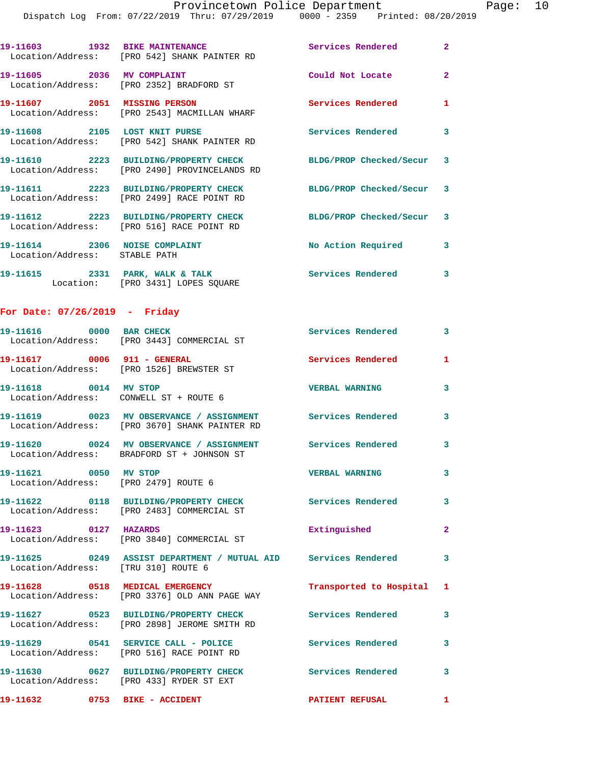|                                                                | 19-11603 1932 BIKE MAINTENANCE<br>Location/Address: [PRO 542] SHANK PAINTER RD                                          | Services Rendered         | $\mathbf{2}$ |
|----------------------------------------------------------------|-------------------------------------------------------------------------------------------------------------------------|---------------------------|--------------|
|                                                                | 19-11605 2036 MV COMPLAINT<br>Location/Address: [PRO 2352] BRADFORD ST                                                  | Could Not Locate          | $\mathbf{2}$ |
| 19-11607 2051 MISSING PERSON                                   | Location/Address: [PRO 2543] MACMILLAN WHARF                                                                            | <b>Services Rendered</b>  | $\mathbf{1}$ |
|                                                                | 19-11608 2105 LOST KNIT PURSE<br>Location/Address: [PRO 542] SHANK PAINTER RD                                           | Services Rendered         | 3            |
|                                                                | 19-11610 2223 BUILDING/PROPERTY CHECK<br>Location/Address: [PRO 2490] PROVINCELANDS RD                                  | BLDG/PROP Checked/Secur 3 |              |
|                                                                | 19-11611 2223 BUILDING/PROPERTY CHECK<br>Location/Address: [PRO 2499] RACE POINT RD                                     | BLDG/PROP Checked/Secur 3 |              |
|                                                                | 19-11612 2223 BUILDING/PROPERTY CHECK<br>Location/Address: [PRO 516] RACE POINT RD                                      | BLDG/PROP Checked/Secur 3 |              |
| 19-11614 2306 NOISE COMPLAINT<br>Location/Address: STABLE PATH |                                                                                                                         | No Action Required        | 3            |
|                                                                | 19-11615 2331 PARK, WALK & TALK<br>Location: [PRO 3431] LOPES SQUARE                                                    | <b>Services Rendered</b>  | 3            |
| For Date: 07/26/2019 - Friday                                  |                                                                                                                         |                           |              |
| 19-11616 0000 BAR CHECK                                        | Location/Address: [PRO 3443] COMMERCIAL ST                                                                              | <b>Services Rendered</b>  | 3            |
|                                                                | 19-11617 0006 911 - GENERAL<br>Location/Address: [PRO 1526] BREWSTER ST                                                 | <b>Services Rendered</b>  | $\mathbf{1}$ |
| 19-11618 0014 MV STOP                                          | Location/Address: CONWELL ST + ROUTE 6                                                                                  | <b>VERBAL WARNING</b>     | 3            |
|                                                                | 19-11619      0023   MV OBSERVANCE / ASSIGNMENT      Services Rendered<br>Location/Address: [PRO 3670] SHANK PAINTER RD |                           | 3            |
|                                                                | 19-11620 0024 MV OBSERVANCE / ASSIGNMENT Services Rendered<br>Location/Address: BRADFORD ST + JOHNSON ST                |                           | 3            |
| 19-11621 0050 MV STOP                                          | Location/Address: [PRO 2479] ROUTE 6                                                                                    | <b>VERBAL WARNING</b>     | 3            |
|                                                                | 19-11622 0118 BUILDING/PROPERTY CHECK Services Rendered 3<br>Location/Address: [PRO 2483] COMMERCIAL ST                 |                           |              |
| 19-11623 0127 HAZARDS                                          | Location/Address: [PRO 3840] COMMERCIAL ST                                                                              | Extinguished              | $\mathbf{2}$ |
| Location/Address: [TRU 310] ROUTE 6                            | 19-11625 0249 ASSIST DEPARTMENT / MUTUAL AID Services Rendered 3                                                        |                           |              |
|                                                                | Location/Address: [PRO 3376] OLD ANN PAGE WAY                                                                           | Transported to Hospital 1 |              |
|                                                                | 19-11627 0523 BUILDING/PROPERTY CHECK Services Rendered<br>Location/Address: [PRO 2898] JEROME SMITH RD                 |                           | 3            |
|                                                                | 19-11629 0541 SERVICE CALL - POLICE<br>Location/Address: [PRO 516] RACE POINT RD                                        | <b>Services Rendered</b>  | 3            |
|                                                                | 19-11630 0627 BUILDING/PROPERTY CHECK Services Rendered 3<br>Location/Address: [PRO 433] RYDER ST EXT                   |                           |              |
| 19-11632 0753 BIKE - ACCIDENT                                  |                                                                                                                         | PATIENT REFUSAL           | $\mathbf{1}$ |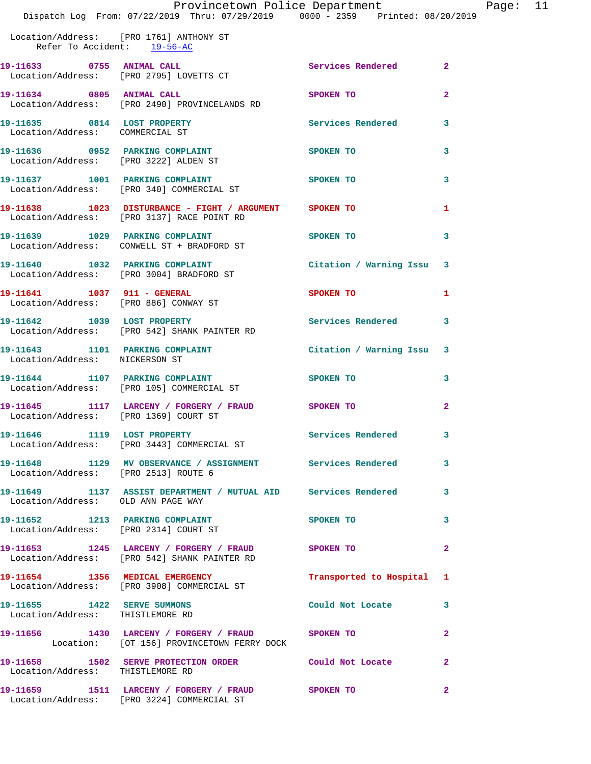|                                                                          | Dispatch Log From: 07/22/2019 Thru: 07/29/2019 0000 - 2359 Printed: 08/20/2019                             | Provincetown Police Department |              | Page: | 11 |
|--------------------------------------------------------------------------|------------------------------------------------------------------------------------------------------------|--------------------------------|--------------|-------|----|
| Refer To Accident: 19-56-AC                                              | Location/Address: [PRO 1761] ANTHONY ST                                                                    |                                |              |       |    |
|                                                                          | 19-11633 0755 ANIMAL CALL<br>Location/Address: [PRO 2795] LOVETTS CT                                       | Services Rendered 2            |              |       |    |
|                                                                          | 19-11634 0805 ANIMAL CALL<br>Location/Address: [PRO 2490] PROVINCELANDS RD                                 | <b>SPOKEN TO</b>               | $\mathbf{2}$ |       |    |
| Location/Address: COMMERCIAL ST                                          | 19-11635 0814 LOST PROPERTY                                                                                | Services Rendered 3            |              |       |    |
|                                                                          | 19-11636 0952 PARKING COMPLAINT<br>Location/Address: [PRO 3222] ALDEN ST                                   | SPOKEN TO                      | 3            |       |    |
|                                                                          | 19-11637 1001 PARKING COMPLAINT SPOKEN TO<br>Location/Address: [PRO 340] COMMERCIAL ST                     |                                | 3            |       |    |
|                                                                          | 19-11638   1023   DISTURBANCE - FIGHT / ARGUMENT   SPOKEN TO<br>Location/Address: [PRO 3137] RACE POINT RD |                                | 1            |       |    |
|                                                                          | 19-11639 1029 PARKING COMPLAINT SPOKEN TO<br>Location/Address: CONWELL ST + BRADFORD ST                    |                                | 3            |       |    |
|                                                                          | 19-11640 1032 PARKING COMPLAINT<br>Location/Address: [PRO 3004] BRADFORD ST                                | Citation / Warning Issu 3      |              |       |    |
|                                                                          | 19-11641    1037    911 - GENERAL<br>Location/Address: [PRO 886] CONWAY ST                                 | SPOKEN TO                      | 1            |       |    |
|                                                                          | 19-11642 1039 LOST PROPERTY<br>Location/Address: [PRO 542] SHANK PAINTER RD                                | Services Rendered 3            |              |       |    |
| Location/Address: NICKERSON ST                                           | 19-11643 1101 PARKING COMPLAINT                                                                            | Citation / Warning Issu 3      |              |       |    |
|                                                                          | 19-11644 1107 PARKING COMPLAINT<br>Location/Address: [PRO 105] COMMERCIAL ST                               | <b>SPOKEN TO</b>               | 3            |       |    |
| Location/Address: [PRO 1369] COURT ST                                    | 19-11645   1117 LARCENY / FORGERY / FRAUD   SPOKEN TO                                                      |                                | $\mathbf{2}$ |       |    |
|                                                                          | 19-11646 1119 LOST PROPERTY<br>Location/Address: [PRO 3443] COMMERCIAL ST                                  | Services Rendered              | 3            |       |    |
| Location/Address: [PRO 2513] ROUTE 6                                     | 19-11648 1129 MV OBSERVANCE / ASSIGNMENT Services Rendered                                                 |                                | 3            |       |    |
| Location/Address: OLD ANN PAGE WAY                                       | 19-11649 1137 ASSIST DEPARTMENT / MUTUAL AID Services Rendered                                             |                                | 3            |       |    |
| 19-11652 1213 PARKING COMPLAINT<br>Location/Address: [PRO 2314] COURT ST |                                                                                                            | SPOKEN TO                      | 3            |       |    |
|                                                                          |                                                                                                            |                                |              |       |    |

**19-11653 1245 LARCENY / FORGERY / FRAUD SPOKEN TO 2**  Location/Address: [PRO 542] SHANK PAINTER RD **19-11654 1356 MEDICAL EMERGENCY Transported to Hospital 1**  Location/Address: [PRO 3908] COMMERCIAL ST **19-11655 1422 SERVE SUMMONS Could Not Locate 3**  Location/Address: THISTLEMORE RD **19-11656 1430 LARCENY / FORGERY / FRAUD SPOKEN TO 2**  Location: [OT 156] PROVINCETOWN FERRY DOCK **19-11658 1502 SERVE PROTECTION ORDER Could Not Locate 2**  Location/Address: THISTLEMORE RD **19-11659 1511 LARCENY / FORGERY / FRAUD SPOKEN TO 2** 

Location/Address: [PRO 3224] COMMERCIAL ST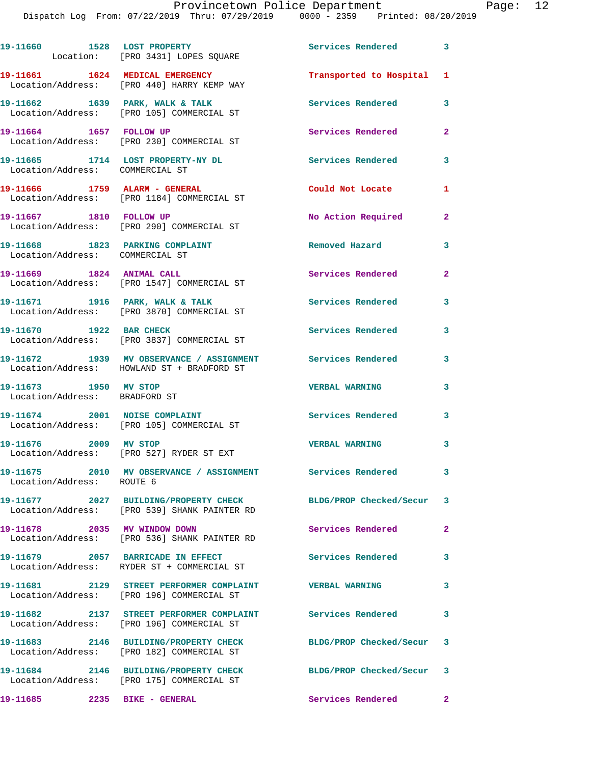|                                                                    | 19-11660 1528 LOST PROPERTY<br>Location: [PRO 3431] LOPES SQUARE                                         | Services Rendered 3       |                |
|--------------------------------------------------------------------|----------------------------------------------------------------------------------------------------------|---------------------------|----------------|
|                                                                    | 19-11661   1624   MEDICAL EMERGENCY<br>Location/Address: [PRO 440] HARRY KEMP WAY                        | Transported to Hospital 1 |                |
|                                                                    | 19-11662 1639 PARK, WALK & TALK<br>Location/Address: [PRO 105] COMMERCIAL ST                             | Services Rendered         | 3              |
| 19-11664 1657 FOLLOW UP                                            | Location/Address: [PRO 230] COMMERCIAL ST                                                                | Services Rendered         | $\overline{2}$ |
| Location/Address: COMMERCIAL ST                                    | 19-11665 1714 LOST PROPERTY-NY DL                                                                        | <b>Services Rendered</b>  | $\mathbf{3}$   |
| 19-11666 1759 ALARM - GENERAL                                      | Location/Address: [PRO 1184] COMMERCIAL ST                                                               | Could Not Locate          | 1              |
| 19-11667 1810 FOLLOW UP                                            | Location/Address: [PRO 290] COMMERCIAL ST                                                                | No Action Required        | $\mathbf{2}$   |
| 19-11668 1823 PARKING COMPLAINT<br>Location/Address: COMMERCIAL ST |                                                                                                          | Removed Hazard            | 3              |
| 19-11669 1824 ANIMAL CALL                                          | Location/Address: [PRO 1547] COMMERCIAL ST                                                               | Services Rendered         | $\overline{a}$ |
|                                                                    | 19-11671 1916 PARK, WALK & TALK<br>Location/Address: [PRO 3870] COMMERCIAL ST                            | <b>Services Rendered</b>  | 3              |
| 19-11670 1922 BAR CHECK                                            | Location/Address: [PRO 3837] COMMERCIAL ST                                                               | <b>Services Rendered</b>  | 3              |
|                                                                    | 19-11672 1939 MV OBSERVANCE / ASSIGNMENT Services Rendered<br>Location/Address: HOWLAND ST + BRADFORD ST |                           | 3              |
| 19-11673 1950 MV STOP<br>Location/Address: BRADFORD ST             |                                                                                                          | <b>VERBAL WARNING</b>     | $\mathbf{3}$   |
|                                                                    | 19-11674 2001 NOISE COMPLAINT<br>Location/Address: [PRO 105] COMMERCIAL ST                               | <b>Services Rendered</b>  | 3              |
| 19-11676 2009 MV STOP                                              | Location/Address: [PRO 527] RYDER ST EXT                                                                 | <b>VERBAL WARNING</b>     | 3              |
| Location/Address: ROUTE 6                                          |                                                                                                          |                           | $\mathbf{3}$   |
|                                                                    | Location/Address: [PRO 539] SHANK PAINTER RD                                                             | BLDG/PROP Checked/Secur 3 |                |
| 19-11678 2035 MV WINDOW DOWN                                       | Location/Address: [PRO 536] SHANK PAINTER RD                                                             | Services Rendered         | $\overline{a}$ |
|                                                                    | 19-11679 2057 BARRICADE IN EFFECT<br>Location/Address: RYDER ST + COMMERCIAL ST                          | <b>Services Rendered</b>  | 3              |
|                                                                    | 19-11681 2129 STREET PERFORMER COMPLAINT<br>Location/Address: [PRO 196] COMMERCIAL ST                    | <b>VERBAL WARNING</b>     | 3              |
|                                                                    | 19-11682 2137 STREET PERFORMER COMPLAINT Services Rendered<br>Location/Address: [PRO 196] COMMERCIAL ST  |                           | 3              |
|                                                                    | 19-11683 2146 BUILDING/PROPERTY CHECK<br>Location/Address: [PRO 182] COMMERCIAL ST                       | BLDG/PROP Checked/Secur   | 3              |
|                                                                    | 19-11684 2146 BUILDING/PROPERTY CHECK<br>Location/Address: [PRO 175] COMMERCIAL ST                       | BLDG/PROP Checked/Secur 3 |                |
| 19-11685                                                           | 2235 BIKE - GENERAL                                                                                      | Services Rendered         | $\mathbf{2}$   |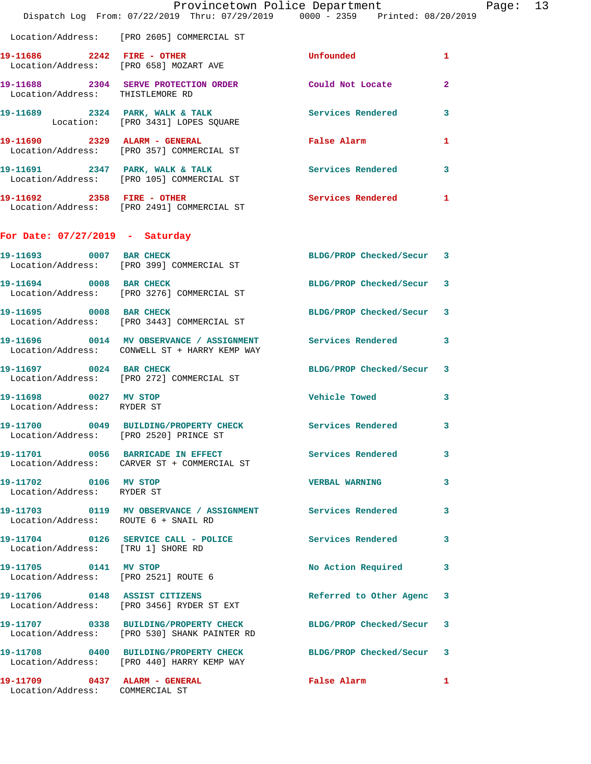|                                                                  | Provincetown Police Department<br>Dispatch Log From: 07/22/2019 Thru: 07/29/2019 0000 - 2359 Printed: 08/20/2019 |                                             |                |
|------------------------------------------------------------------|------------------------------------------------------------------------------------------------------------------|---------------------------------------------|----------------|
|                                                                  | Location/Address: [PRO 2605] COMMERCIAL ST                                                                       |                                             |                |
| 19-11686 2242 FIRE - OTHER                                       | Location/Address: [PRO 658] MOZART AVE                                                                           | Unfounded                                   | 1              |
| Location/Address: THISTLEMORE RD                                 | 19-11688 2304 SERVE PROTECTION ORDER                                                                             | Could Not Locate                            | $\overline{a}$ |
|                                                                  | 19-11689 2324 PARK, WALK & TALK<br>Location: [PRO 3431] LOPES SQUARE                                             | <b>Services Rendered</b>                    | 3              |
|                                                                  | 19-11690 2329 ALARM - GENERAL<br>Location/Address: [PRO 357] COMMERCIAL ST                                       | False Alarm <b>Exercise Service Service</b> | 1              |
|                                                                  | 19-11691 2347 PARK, WALK & TALK<br>Location/Address: [PRO 105] COMMERCIAL ST                                     | <b>Services Rendered</b>                    | 3              |
| 19-11692 2358 FIRE - OTHER                                       | Location/Address: [PRO 2491] COMMERCIAL ST                                                                       | <b>Services Rendered</b>                    | 1              |
| For Date: $07/27/2019$ - Saturday                                |                                                                                                                  |                                             |                |
| 19-11693 0007 BAR CHECK                                          | Location/Address: [PRO 399] COMMERCIAL ST                                                                        | BLDG/PROP Checked/Secur 3                   |                |
|                                                                  | 19-11694 0008 BAR CHECK<br>Location/Address: [PRO 3276] COMMERCIAL ST                                            | BLDG/PROP Checked/Secur                     | -3             |
| 19-11695 0008 BAR CHECK                                          | Location/Address: [PRO 3443] COMMERCIAL ST                                                                       | BLDG/PROP Checked/Secur                     | 3              |
|                                                                  | 19-11696 0014 MV OBSERVANCE / ASSIGNMENT Services Rendered<br>Location/Address: CONWELL ST + HARRY KEMP WAY      |                                             | 3              |
| 19-11697 0024 BAR CHECK                                          | Location/Address: [PRO 272] COMMERCIAL ST                                                                        | BLDG/PROP Checked/Secur                     | 3              |
| 19-11698 0027 MV STOP<br>Location/Address: RYDER ST              |                                                                                                                  | Vehicle Towed                               | 3              |
| Location/Address: [PRO 2520] PRINCE ST                           | 19-11700 0049 BUILDING/PROPERTY CHECK Services Rendered                                                          |                                             |                |
|                                                                  | 19-11701 0056 BARRICADE IN EFFECT Services Rendered<br>Location/Address: CARVER ST + COMMERCIAL ST               |                                             | 3              |
| 19-11702 0106 MV STOP<br>Location/Address: RYDER ST              |                                                                                                                  | <b>VERBAL WARNING</b>                       | 3              |
| Location/Address: ROUTE 6 + SNAIL RD                             | 19-11703 0119 MV OBSERVANCE / ASSIGNMENT Services Rendered                                                       |                                             | 3              |
| Location/Address: [TRU 1] SHORE RD                               | 19-11704 0126 SERVICE CALL - POLICE                                                                              | Services Rendered                           | 3              |
| 19-11705 0141 MV STOP<br>Location/Address: [PRO 2521] ROUTE 6    |                                                                                                                  | No Action Required                          | 3              |
|                                                                  | 19-11706 0148 ASSIST CITIZENS<br>Location/Address: [PRO 3456] RYDER ST EXT                                       | Referred to Other Agenc                     | 3              |
|                                                                  | 19-11707 0338 BUILDING/PROPERTY CHECK<br>Location/Address: [PRO 530] SHANK PAINTER RD                            | BLDG/PROP Checked/Secur                     | 3              |
|                                                                  | 19-11708 0400 BUILDING/PROPERTY CHECK<br>Location/Address: [PRO 440] HARRY KEMP WAY                              | BLDG/PROP Checked/Secur                     | 3              |
| 19-11709 0437 ALARM - GENERAL<br>Location/Address: COMMERCIAL ST |                                                                                                                  | False Alarm                                 | 1              |

Page: 13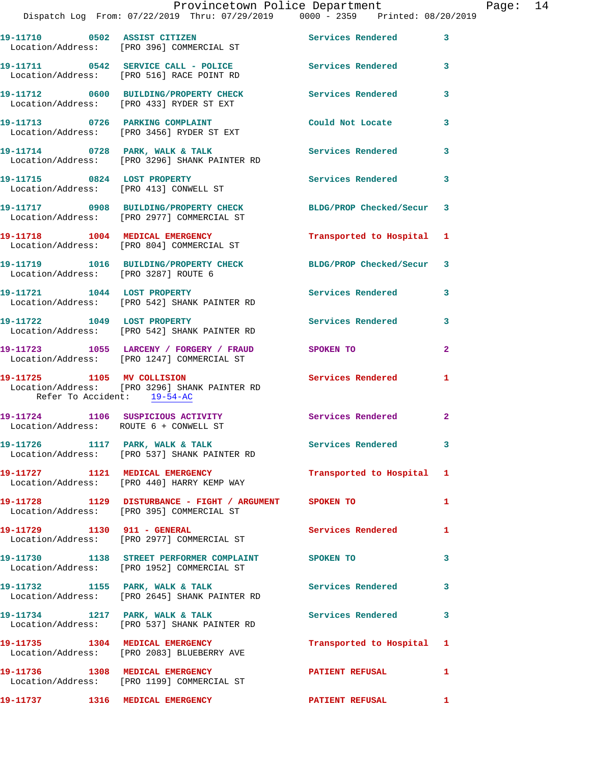|                                                           | Provincetown Police Department                                                                      |                          |              |
|-----------------------------------------------------------|-----------------------------------------------------------------------------------------------------|--------------------------|--------------|
|                                                           | Dispatch Log From: 07/22/2019 Thru: 07/29/2019 0000 - 2359 Printed: 08/20/2019                      |                          |              |
|                                                           | 19-11710 0502 ASSIST CITIZEN<br>Location/Address: [PRO 396] COMMERCIAL ST                           | Services Rendered        | 3            |
|                                                           | 19-11711 0542 SERVICE CALL - POLICE Services Rendered<br>Location/Address: [PRO 516] RACE POINT RD  |                          | 3            |
|                                                           | 19-11712 0600 BUILDING/PROPERTY CHECK<br>Location/Address: [PRO 433] RYDER ST EXT                   | <b>Services Rendered</b> | 3            |
|                                                           | 19-11713 0726 PARKING COMPLAINT<br>Location/Address: [PRO 3456] RYDER ST EXT                        | Could Not Locate         | 3            |
|                                                           | 19-11714 0728 PARK, WALK & TALK<br>Location/Address: [PRO 3296] SHANK PAINTER RD                    | Services Rendered        | 3            |
| 19-11715 0824 LOST PROPERTY                               | Location/Address: [PRO 413] CONWELL ST                                                              | Services Rendered        | 3            |
|                                                           | 19-11717 0908 BUILDING/PROPERTY CHECK<br>Location/Address: [PRO 2977] COMMERCIAL ST                 | BLDG/PROP Checked/Secur  | 3            |
|                                                           | 19-11718 1004 MEDICAL EMERGENCY<br>Location/Address: [PRO 804] COMMERCIAL ST                        | Transported to Hospital  | 1            |
| Location/Address: [PRO 3287] ROUTE 6                      | 19-11719 1016 BUILDING/PROPERTY CHECK                                                               | BLDG/PROP Checked/Secur  | 3            |
|                                                           | 19-11721 1044 LOST PROPERTY<br>Location/Address: [PRO 542] SHANK PAINTER RD                         | <b>Services Rendered</b> | 3            |
| 19-11722 1049 LOST PROPERTY                               | Location/Address: [PRO 542] SHANK PAINTER RD                                                        | <b>Services Rendered</b> | 3            |
|                                                           | 19-11723 1055 LARCENY / FORGERY / FRAUD<br>Location/Address: [PRO 1247] COMMERCIAL ST               | SPOKEN TO                | $\mathbf{2}$ |
| 19-11725 1105 MV COLLISION<br>Refer To Accident: 19-54-AC | Location/Address: [PRO 3296] SHANK PAINTER RD                                                       | <b>Services Rendered</b> | 1            |
| Location/Address: ROUTE 6 + CONWELL ST                    | 19-11724 1106 SUSPICIOUS ACTIVITY                                                                   | Services Rendered        | $\mathbf{2}$ |
|                                                           | 19-11726 1117 PARK, WALK & TALK<br>Location/Address: [PRO 537] SHANK PAINTER RD                     | <b>Services Rendered</b> | 3            |
|                                                           | 19-11727 1121 MEDICAL EMERGENCY<br>Location/Address: [PRO 440] HARRY KEMP WAY                       | Transported to Hospital  | 1            |
|                                                           | 19-11728 1129 DISTURBANCE - FIGHT / ARGUMENT SPOKEN TO<br>Location/Address: [PRO 395] COMMERCIAL ST |                          | 1            |
|                                                           | 19-11729    1130    911 - GENERAL<br>Location/Address: [PRO 2977] COMMERCIAL ST                     | <b>Services Rendered</b> | 1            |
|                                                           | 19-11730 1138 STREET PERFORMER COMPLAINT SPOKEN TO<br>Location/Address: [PRO 1952] COMMERCIAL ST    |                          | 3            |
|                                                           | 19-11732 1155 PARK, WALK & TALK<br>Location/Address: [PRO 2645] SHANK PAINTER RD                    | Services Rendered        | 3            |
| 19-11734 1217 PARK, WALK & TALK                           | Location/Address: [PRO 537] SHANK PAINTER RD                                                        | Services Rendered        | 3            |
|                                                           | 19-11735 1304 MEDICAL EMERGENCY<br>Location/Address: [PRO 2083] BLUEBERRY AVE                       | Transported to Hospital  | 1            |
| 19-11736 1308 MEDICAL EMERGENCY                           | Location/Address: [PRO 1199] COMMERCIAL ST                                                          | <b>PATIENT REFUSAL</b>   | 1            |
| 19-11737 1316 MEDICAL EMERGENCY                           |                                                                                                     | <b>PATIENT REFUSAL</b>   | 1            |

Page: 14<br>19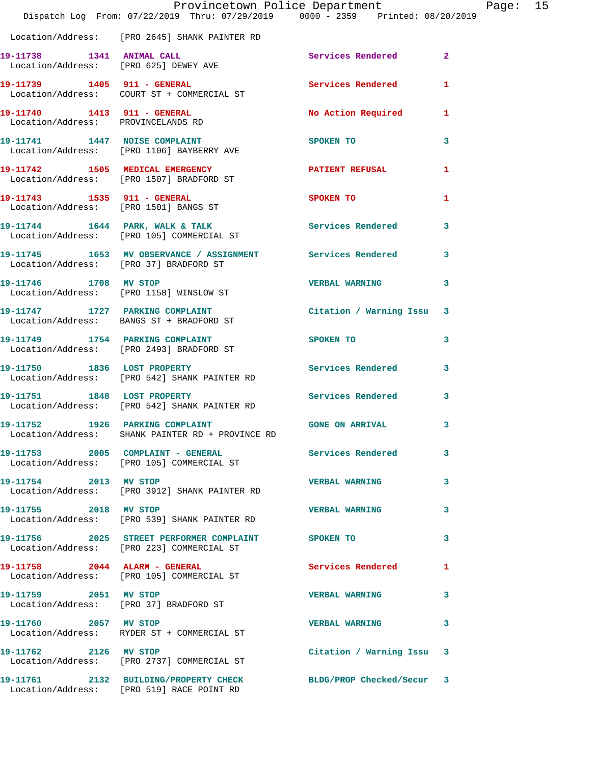|                                        | Dispatch Log From: 07/22/2019 Thru: 07/29/2019 0000 - 2359 Printed: 08/20/2019                               | Provincetown Police Department |   | Page: 15 |  |
|----------------------------------------|--------------------------------------------------------------------------------------------------------------|--------------------------------|---|----------|--|
|                                        | Location/Address: [PRO 2645] SHANK PAINTER RD                                                                |                                |   |          |  |
|                                        | 19-11738 1341 ANIMAL CALL<br>Location/Address: [PRO 625] DEWEY AVE                                           | Services Rendered 2            |   |          |  |
|                                        | 19-11739    1405    911 - GENERAL<br>Location/Address: COURT ST + COMMERCIAL ST                              | <b>Services Rendered</b>       | 1 |          |  |
|                                        | 19-11740    1413    911 - GENERAL<br>Location/Address: PROVINCELANDS RD                                      | No Action Required 1           |   |          |  |
|                                        | 19-11741 1447 NOISE COMPLAINT<br>Location/Address: [PRO 1106] BAYBERRY AVE                                   | SPOKEN TO                      | 3 |          |  |
|                                        | 19-11742 1505 MEDICAL EMERGENCY<br>Location/Address: [PRO 1507] BRADFORD ST                                  | PATIENT REFUSAL                | 1 |          |  |
|                                        | 19-11743   1535   911 - GENERAL<br>Location/Address: [PRO 1501] BANGS ST                                     | SPOKEN TO                      | 1 |          |  |
|                                        | 19-11744 1644 PARK, WALK & TALK<br>Location/Address: [PRO 105] COMMERCIAL ST                                 | Services Rendered              | 3 |          |  |
| Location/Address: [PRO 37] BRADFORD ST | 19-11745 1653 MV OBSERVANCE / ASSIGNMENT Services Rendered 3                                                 |                                |   |          |  |
|                                        | 19-11746 1708 MV STOP<br>Location/Address: [PRO 1158] WINSLOW ST                                             | <b>VERBAL WARNING</b>          | 3 |          |  |
|                                        | 19-11747 1727 PARKING COMPLAINT<br>Location/Address: BANGS ST + BRADFORD ST                                  | Citation / Warning Issu 3      |   |          |  |
|                                        | 19-11749 1754 PARKING COMPLAINT<br>Location/Address: [PRO 2493] BRADFORD ST                                  | <b>SPOKEN TO</b>               | 3 |          |  |
|                                        | 19-11750 1836 LOST PROPERTY<br>Location/Address: [PRO 542] SHANK PAINTER RD                                  | Services Rendered 3            |   |          |  |
|                                        | 19-11751 1848 LOST PROPERTY<br>Location/Address: [PRO 542] SHANK PAINTER RD                                  | Services Rendered              | 3 |          |  |
| 19-11752 1926 PARKING COMPLAINT        | Location/Address: SHANK PAINTER RD + PROVINCE RD                                                             | GONE ON ARRIVAL 3              |   |          |  |
|                                        | 19-11753 2005 COMPLAINT - GENERAL Services Rendered<br>Location/Address: [PRO 105] COMMERCIAL ST             |                                | 3 |          |  |
| 19-11754 2013 MV STOP                  | Location/Address: [PRO 3912] SHANK PAINTER RD                                                                | <b>VERBAL WARNING</b>          | 3 |          |  |
| 19-11755 2018 MV STOP                  | Location/Address: [PRO 539] SHANK PAINTER RD                                                                 | <b>VERBAL WARNING</b>          | 3 |          |  |
|                                        | Location/Address: [PRO 223] COMMERCIAL ST                                                                    |                                | 3 |          |  |
|                                        | 19-11758 2044 ALARM - GENERAL<br>Location/Address: [PRO 105] COMMERCIAL ST                                   | Services Rendered              | 1 |          |  |
| 19-11759 2051 MV STOP                  | Location/Address: [PRO 37] BRADFORD ST                                                                       | <b>VERBAL WARNING</b>          | 3 |          |  |
|                                        | 19-11760 2057 MV STOP<br>Location/Address: RYDER ST + COMMERCIAL ST                                          | <b>VERBAL WARNING</b>          | 3 |          |  |
| 19-11762 2126 MV STOP                  | Location/Address: [PRO 2737] COMMERCIAL ST                                                                   | Citation / Warning Issu 3      |   |          |  |
|                                        | 19-11761 2132 BUILDING/PROPERTY CHECK BLDG/PROP Checked/Secur 3<br>Location/Address: [PRO 519] RACE POINT RD |                                |   |          |  |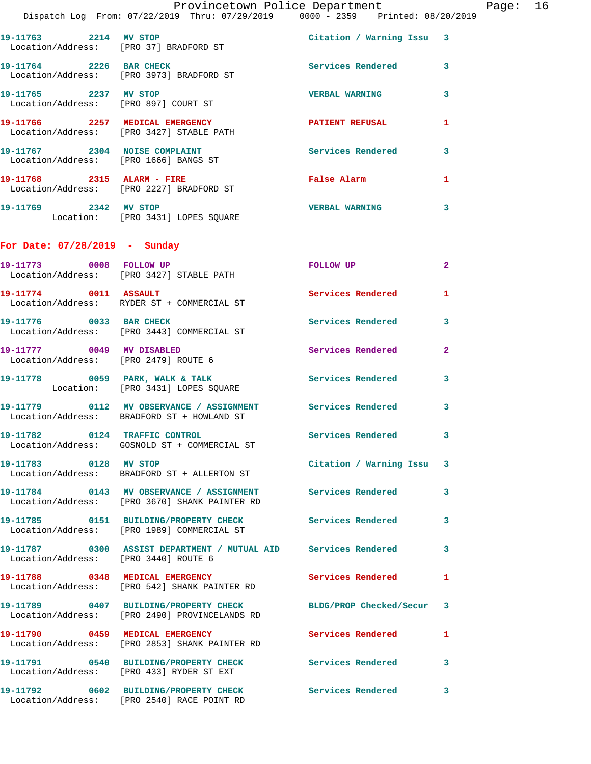|                                      | Provincetown Police Department Page: 16<br>Dispatch Log From: 07/22/2019 Thru: 07/29/2019 0000 - 2359 Printed: 08/20/2019 |                           |              |  |
|--------------------------------------|---------------------------------------------------------------------------------------------------------------------------|---------------------------|--------------|--|
|                                      | 19-11763 2214 MV STOP<br>Location/Address: [PRO 37] BRADFORD ST                                                           | Citation / Warning Issu 3 |              |  |
|                                      | 19-11764 2226 BAR CHECK<br>Location/Address: [PRO 3973] BRADFORD ST                                                       | Services Rendered 3       |              |  |
|                                      |                                                                                                                           | <b>VERBAL WARNING</b>     | 3            |  |
|                                      |                                                                                                                           | PATIENT REFUSAL           | 1            |  |
|                                      | 19-11767 2304 NOISE COMPLAINT<br>Location/Address: [PRO 1666] BANGS ST                                                    | Services Rendered 3       |              |  |
|                                      | 19-11768 2315 ALARM - FIRE<br>Location/Address: [PRO 2227] BRADFORD ST                                                    | False Alarm               | $\mathbf{1}$ |  |
|                                      | 19-11769 2342 MV STOP<br>Location: [PRO 3431] LOPES SQUARE                                                                | <b>VERBAL WARNING</b>     | 3            |  |
| For Date: $07/28/2019$ - Sunday      |                                                                                                                           |                           |              |  |
|                                      | 19-11773 0008 FOLLOW UP<br>Location/Address: [PRO 3427] STABLE PATH                                                       | FOLLOW UP                 | $\mathbf{2}$ |  |
|                                      | $19-11774$ 0011 ASSAULT<br>Location/Address: RYDER ST + COMMERCIAL ST                                                     | Services Rendered         | 1            |  |
| 19-11776 0033 BAR CHECK              | Location/Address: [PRO 3443] COMMERCIAL ST                                                                                | Services Rendered 3       |              |  |
| Location/Address: [PRO 2479] ROUTE 6 | 19-11777 0049 MV DISABLED                                                                                                 | Services Rendered         | $\mathbf{2}$ |  |
|                                      | 19-11778 0059 PARK, WALK & TALK 3 Services Rendered 3<br>Location: [PRO 3431] LOPES SQUARE                                |                           |              |  |
|                                      | 19-11779 0112 MV OBSERVANCE / ASSIGNMENT Services Rendered<br>Location/Address: BRADFORD ST + HOWLAND ST                  |                           | 3            |  |
|                                      | 19-11782 0124 TRAFFIC CONTROL<br>Location/Address: GOSNOLD ST + COMMERCIAL ST                                             | Services Rendered 3       |              |  |
| 19-11783 0128 MV STOP                | Location/Address: BRADFORD ST + ALLERTON ST                                                                               | Citation / Warning Issu 3 |              |  |
|                                      | 19-11784      0143   MV OBSERVANCE / ASSIGNMENT      Services Rendered<br>Location/Address: [PRO 3670] SHANK PAINTER RD   |                           | 3            |  |
|                                      | 19-11785 0151 BUILDING/PROPERTY CHECK Services Rendered<br>Location/Address: [PRO 1989] COMMERCIAL ST                     |                           | 3            |  |
| Location/Address: [PRO 3440] ROUTE 6 | 19-11787 0300 ASSIST DEPARTMENT / MUTUAL AID Services Rendered 3                                                          |                           |              |  |
|                                      | 19-11788 0348 MEDICAL EMERGENCY<br>Location/Address: [PRO 542] SHANK PAINTER RD                                           | <b>Services Rendered</b>  | 1            |  |
|                                      | 19-11789 0407 BUILDING/PROPERTY CHECK BLDG/PROP Checked/Secur 3<br>Location/Address: [PRO 2490] PROVINCELANDS RD          |                           |              |  |
|                                      | 19-11790 0459 MEDICAL EMERGENCY<br>Location/Address: [PRO 2853] SHANK PAINTER RD                                          | <b>Services Rendered</b>  | 1            |  |
|                                      | 19-11791 0540 BUILDING/PROPERTY CHECK Services Rendered 3<br>Location/Address: [PRO 433] RYDER ST EXT                     |                           |              |  |
|                                      | 19-11792 0602 BUILDING/PROPERTY CHECK Services Rendered<br>Location/Address: [PRO 2540] RACE POINT RD                     |                           | 3            |  |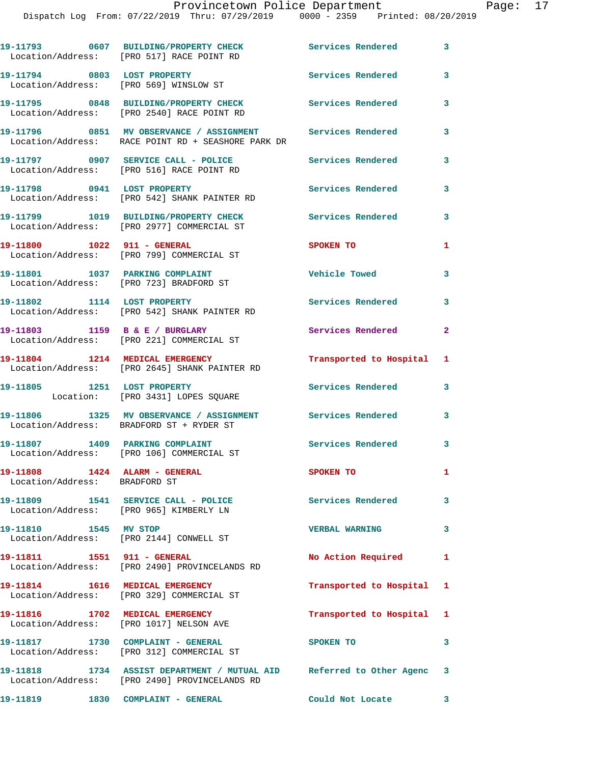|                                                                | 19-11793 0607 BUILDING/PROPERTY CHECK<br>Location/Address: [PRO 517] RACE POINT RD                                          | Services Rendered 3       |                |
|----------------------------------------------------------------|-----------------------------------------------------------------------------------------------------------------------------|---------------------------|----------------|
|                                                                | 19-11794 0803 LOST PROPERTY<br>Location/Address: [PRO 569] WINSLOW ST                                                       | <b>Services Rendered</b>  | 3              |
|                                                                | 19-11795 0848 BUILDING/PROPERTY CHECK<br>Location/Address: [PRO 2540] RACE POINT RD                                         | <b>Services Rendered</b>  | 3              |
|                                                                | 19-11796 0851 MV OBSERVANCE / ASSIGNMENT<br>Location/Address: RACE POINT RD + SEASHORE PARK DR                              | <b>Services Rendered</b>  | 3              |
|                                                                | 19-11797 0907 SERVICE CALL - POLICE<br>Location/Address: [PRO 516] RACE POINT RD                                            | <b>Services Rendered</b>  | 3              |
| 19-11798 0941 LOST PROPERTY                                    | Location/Address: [PRO 542] SHANK PAINTER RD                                                                                | <b>Services Rendered</b>  | 3              |
|                                                                | 19-11799 1019 BUILDING/PROPERTY CHECK<br>Location/Address: [PRO 2977] COMMERCIAL ST                                         | <b>Services Rendered</b>  | 3              |
| 19-11800 1022 911 - GENERAL                                    | Location/Address: [PRO 799] COMMERCIAL ST                                                                                   | <b>SPOKEN TO</b>          | $\mathbf{1}$   |
|                                                                | 19-11801 1037 PARKING COMPLAINT                                                                                             | <b>Vehicle Towed</b>      | 3              |
| 19-11802 1114 LOST PROPERTY                                    | Location/Address: [PRO 723] BRADFORD ST                                                                                     | <b>Services Rendered</b>  | 3              |
|                                                                | Location/Address: [PRO 542] SHANK PAINTER RD<br>19-11803 1159 B & E / BURGLARY<br>Location/Address: [PRO 221] COMMERCIAL ST | Services Rendered         | $\overline{2}$ |
|                                                                |                                                                                                                             |                           |                |
|                                                                | 19-11804 1214 MEDICAL EMERGENCY<br>Location/Address: [PRO 2645] SHANK PAINTER RD                                            | Transported to Hospital 1 |                |
|                                                                | 19-11805 1251 LOST PROPERTY<br>Location: [PRO 3431] LOPES SQUARE                                                            | <b>Services Rendered</b>  | 3              |
|                                                                | 19-11806 1325 MV OBSERVANCE / ASSIGNMENT Services Rendered<br>Location/Address: BRADFORD ST + RYDER ST                      |                           | 3              |
|                                                                | 19-11807 1409 PARKING COMPLAINT<br>Location/Address: [PRO 106] COMMERCIAL ST                                                | Services Rendered 3       |                |
| 19-11808 1424 ALARM - GENERAL<br>Location/Address: BRADFORD ST |                                                                                                                             | SPOKEN TO                 | $\mathbf{1}$   |
|                                                                | 19-11809 1541 SERVICE CALL - POLICE 2007 Services Rendered<br>Location/Address: [PRO 965] KIMBERLY LN                       |                           | 3              |
| 19-11810 1545 MV STOP                                          | Location/Address: [PRO 2144] CONWELL ST                                                                                     | <b>VERBAL WARNING</b>     | 3              |
| 19-11811 1551 911 - GENERAL                                    | Location/Address: [PRO 2490] PROVINCELANDS RD                                                                               | No Action Required        | 1              |
| 19-11814 1616 MEDICAL EMERGENCY                                | Location/Address: [PRO 329] COMMERCIAL ST                                                                                   | Transported to Hospital 1 |                |
|                                                                | 19-11816 1702 MEDICAL EMERGENCY                                                                                             | Transported to Hospital 1 |                |
|                                                                | Location/Address: [PRO 1017] NELSON AVE<br>19-11817 1730 COMPLAINT - GENERAL                                                | SPOKEN TO                 | 3              |
|                                                                | Location/Address: [PRO 312] COMMERCIAL ST<br>19-11818 1734 ASSIST DEPARTMENT / MUTUAL AID Referred to Other Agenc 3         |                           |                |
|                                                                | Location/Address: [PRO 2490] PROVINCELANDS RD                                                                               |                           |                |
| 19-11819 1830 COMPLAINT - GENERAL                              |                                                                                                                             | Could Not Locate          | 3              |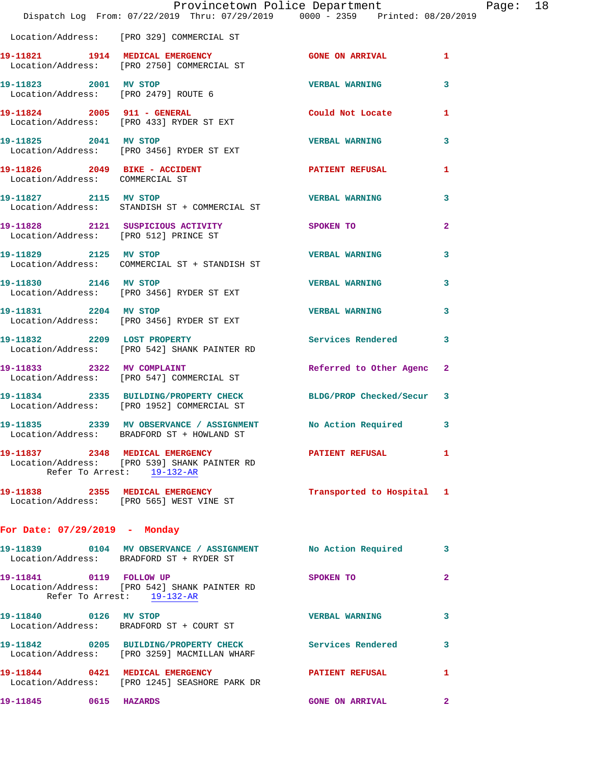|                                 | Dispatch Log From: 07/22/2019 Thru: 07/29/2019 0000 - 2359 Printed: 08/20/2019                                | Provincetown Police Department Page: 18 |                         |  |
|---------------------------------|---------------------------------------------------------------------------------------------------------------|-----------------------------------------|-------------------------|--|
|                                 | Location/Address: [PRO 329] COMMERCIAL ST                                                                     |                                         |                         |  |
|                                 | 19-11821 1914 MEDICAL EMERGENCY<br>Location/Address: [PRO 2750] COMMERCIAL ST                                 | <b>GONE ON ARRIVAL</b>                  | $\mathbf{1}$            |  |
|                                 | 19-11823 2001 MV STOP<br>Location/Address: [PRO 2479] ROUTE 6                                                 | <b>VERBAL WARNING</b>                   | $\overline{\mathbf{3}}$ |  |
|                                 | 19-11824 2005 911 - GENERAL<br>Location/Address: [PRO 433] RYDER ST EXT                                       | Could Not Locate 1                      |                         |  |
|                                 | 19-11825 2041 MV STOP<br>Location/Address: [PRO 3456] RYDER ST EXT                                            | <b>VERBAL WARNING</b>                   | 3                       |  |
| Location/Address: COMMERCIAL ST | 19-11826  2049 BIKE - ACCIDENT                                                                                | PATIENT REFUSAL                         | $\mathbf{1}$            |  |
| 19-11827 2115 MV STOP           | Location/Address: STANDISH ST + COMMERCIAL ST                                                                 | <b>VERBAL WARNING</b>                   | 3                       |  |
|                                 | 19-11828 2121 SUSPICIOUS ACTIVITY SPOKEN TO<br>Location/Address: [PRO 512] PRINCE ST                          |                                         | $\mathbf{2}$            |  |
| 19-11829 2125 MV STOP           | Location/Address: COMMERCIAL ST + STANDISH ST                                                                 | <b>VERBAL WARNING</b>                   | 3                       |  |
| 19-11830 2146 MV STOP           | Location/Address: [PRO 3456] RYDER ST EXT                                                                     | <b>VERBAL WARNING</b>                   | 3                       |  |
|                                 | 19-11831 2204 MV STOP<br>Location/Address: [PRO 3456] RYDER ST EXT                                            | <b>VERBAL WARNING</b>                   | 3                       |  |
| 19-11832 2209 LOST PROPERTY     | Location/Address: [PRO 542] SHANK PAINTER RD                                                                  | <b>Services Rendered</b>                | 3                       |  |
|                                 | 19-11833 2322 MV COMPLAINT<br>Location/Address: [PRO 547] COMMERCIAL ST                                       | Referred to Other Agenc 2               |                         |  |
|                                 | 19-11834 2335 BUILDING/PROPERTY CHECK BLDG/PROP Checked/Secur 3<br>Location/Address: [PRO 1952] COMMERCIAL ST |                                         |                         |  |
|                                 | 19-11835 2339 MV OBSERVANCE / ASSIGNMENT No Action Required 3<br>Location/Address: BRADFORD ST + HOWLAND ST   |                                         |                         |  |
| Refer To Arrest: 19-132-AR      | 19-11837  2348  MEDICAL EMERGENCY  PATIENT REFUSAL  1<br>Location/Address: [PRO 539] SHANK PAINTER RD         |                                         |                         |  |
|                                 | 19-11838 2355 MEDICAL EMERGENCY<br>Location/Address: [PRO 565] WEST VINE ST                                   | Transported to Hospital 1               |                         |  |
| For Date: 07/29/2019 - Monday   |                                                                                                               |                                         |                         |  |
|                                 | 19-11839 0104 MV OBSERVANCE / ASSIGNMENT No Action Required 3<br>Location/Address: BRADFORD ST + RYDER ST     |                                         |                         |  |
| 19-11841 0119 FOLLOW UP         | Location/Address: [PRO 542] SHANK PAINTER RD<br>Refer To Arrest: 19-132-AR                                    | SPOKEN TO                               | $\mathbf{2}$            |  |
|                                 | 19-11840 0126 MV STOP<br>Location/Address: BRADFORD ST + COURT ST                                             | <b>VERBAL WARNING</b>                   | 3                       |  |
|                                 | 19-11842 0205 BUILDING/PROPERTY CHECK Services Rendered<br>Location/Address: [PRO 3259] MACMILLAN WHARF       |                                         | 3                       |  |
|                                 | 19-11844 0421 MEDICAL EMERGENCY PATIENT REFUSAL<br>Location/Address: [PRO 1245] SEASHORE PARK DR              |                                         | 1                       |  |
| 19-11845 0615 HAZARDS           |                                                                                                               | <b>GONE ON ARRIVAL</b>                  | $\mathbf{2}$            |  |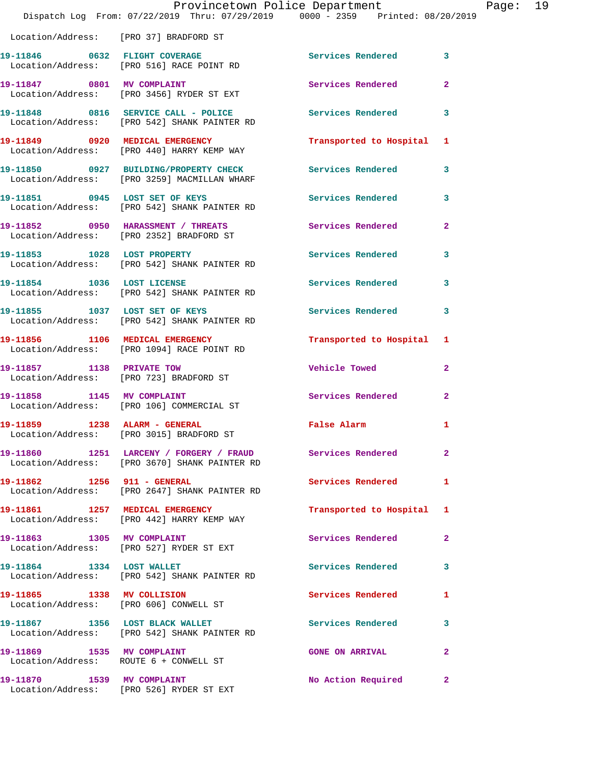|                                                                      | Provincetown Police Department<br>Dispatch Log From: 07/22/2019 Thru: 07/29/2019 0000 - 2359 Printed: 08/20/2019 |                          |                |
|----------------------------------------------------------------------|------------------------------------------------------------------------------------------------------------------|--------------------------|----------------|
| Location/Address: [PRO 37] BRADFORD ST                               |                                                                                                                  |                          |                |
|                                                                      | 19-11846 0632 FLIGHT COVERAGE<br>Location/Address: [PRO 516] RACE POINT RD                                       | Services Rendered        | 3              |
|                                                                      | 19-11847 0801 MV COMPLAINT<br>Location/Address: [PRO 3456] RYDER ST EXT                                          | Services Rendered        | $\mathbf{2}$   |
|                                                                      | 19-11848 0816 SERVICE CALL - POLICE<br>Location/Address: [PRO 542] SHANK PAINTER RD                              | Services Rendered        | 3              |
|                                                                      | 19-11849 0920 MEDICAL EMERGENCY<br>Location/Address: [PRO 440] HARRY KEMP WAY                                    | Transported to Hospital  | 1              |
|                                                                      | 19-11850 0927 BUILDING/PROPERTY CHECK<br>Location/Address: [PRO 3259] MACMILLAN WHARF                            | <b>Services Rendered</b> | 3              |
|                                                                      | 19-11851 0945 LOST SET OF KEYS<br>Location/Address: [PRO 542] SHANK PAINTER RD                                   | <b>Services Rendered</b> | 3              |
|                                                                      | 19-11852 0950 HARASSMENT / THREATS<br>Location/Address: [PRO 2352] BRADFORD ST                                   | Services Rendered        | $\mathbf{2}$   |
|                                                                      | 19-11853 1028 LOST PROPERTY<br>Location/Address: [PRO 542] SHANK PAINTER RD                                      | <b>Services Rendered</b> | 3              |
| 19-11854 1036 LOST LICENSE                                           | Location/Address: [PRO 542] SHANK PAINTER RD                                                                     | Services Rendered        | 3              |
| 19-11855 1037 LOST SET OF KEYS                                       | Location/Address: [PRO 542] SHANK PAINTER RD                                                                     | <b>Services Rendered</b> | 3              |
|                                                                      | 19-11856 1106 MEDICAL EMERGENCY<br>Location/Address: [PRO 1094] RACE POINT RD                                    | Transported to Hospital  | 1              |
| 19-11857 1138 PRIVATE TOW                                            | Location/Address: [PRO 723] BRADFORD ST                                                                          | Vehicle Towed            | $\mathbf{2}$   |
| 19-11858 1145 MV COMPLAINT                                           | Location/Address: [PRO 106] COMMERCIAL ST                                                                        | Services Rendered        | $\overline{a}$ |
| 19-11859 1238 ALARM - GENERAL                                        | Location/Address: [PRO 3015] BRADFORD ST                                                                         | False Alarm              |                |
|                                                                      | 19-11860 1251 LARCENY / FORGERY / FRAUD Services Rendered<br>Location/Address: [PRO 3670] SHANK PAINTER RD       |                          | $\overline{a}$ |
| 19-11862    1256    911 - GENERAL                                    | Location/Address: [PRO 2647] SHANK PAINTER RD                                                                    | <b>Services Rendered</b> | 1              |
|                                                                      | 19-11861 1257 MEDICAL EMERGENCY<br>Location/Address: [PRO 442] HARRY KEMP WAY                                    | Transported to Hospital  | 1              |
| 19-11863 1305 MV COMPLAINT                                           | Location/Address: [PRO 527] RYDER ST EXT                                                                         | Services Rendered        | $\mathbf{2}$   |
|                                                                      | 19-11864 1334 LOST WALLET<br>Location/Address: [PRO 542] SHANK PAINTER RD                                        | Services Rendered        | 3              |
| 19-11865 1338 MV COLLISION                                           | Location/Address: [PRO 606] CONWELL ST                                                                           | Services Rendered        | 1              |
|                                                                      | 19-11867 1356 LOST BLACK WALLET<br>Location/Address: [PRO 542] SHANK PAINTER RD                                  | <b>Services Rendered</b> | 3              |
| 19-11869 1535 MV COMPLAINT<br>Location/Address: ROUTE 6 + CONWELL ST |                                                                                                                  | <b>GONE ON ARRIVAL</b>   | $\mathbf{2}$   |
|                                                                      | 19-11870 1539 MV COMPLAINT<br>Location/Address: [PRO 526] RYDER ST EXT                                           | No Action Required       | $\mathbf{2}$   |

Page: 19